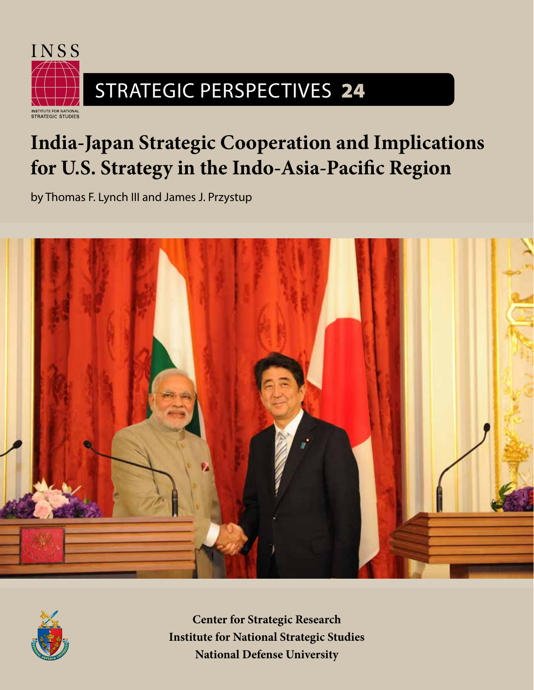

# STRATEGIC PERSPECTIVES 24

# **India-Japan Strategic Cooperation and Implications for U.S. Strategy in the Indo-Asia-Pacific Region**

by Thomas F. Lynch III and James J. Przystup





**Center for Strategic Research Institute for National Strategic Studies National Defense University**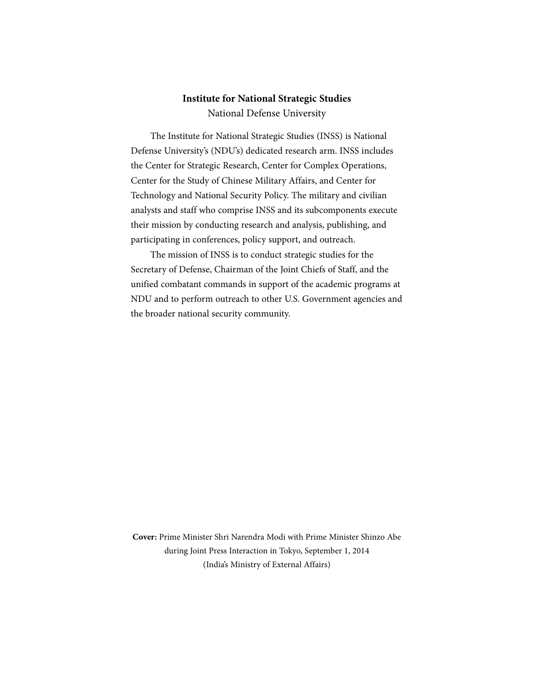# **Institute for National Strategic Studies**

National Defense University

The Institute for National Strategic Studies (INSS) is National Defense University's (NDU's) dedicated research arm. INSS includes the Center for Strategic Research, Center for Complex Operations, Center for the Study of Chinese Military Affairs, and Center for Technology and National Security Policy. The military and civilian analysts and staff who comprise INSS and its subcomponents execute their mission by conducting research and analysis, publishing, and participating in conferences, policy support, and outreach.

The mission of INSS is to conduct strategic studies for the Secretary of Defense, Chairman of the Joint Chiefs of Staff, and the unified combatant commands in support of the academic programs at NDU and to perform outreach to other U.S. Government agencies and the broader national security community.

**Cover:** Prime Minister Shri Narendra Modi with Prime Minister Shinzo Abe during Joint Press Interaction in Tokyo, September 1, 2014 (India's Ministry of External Affairs)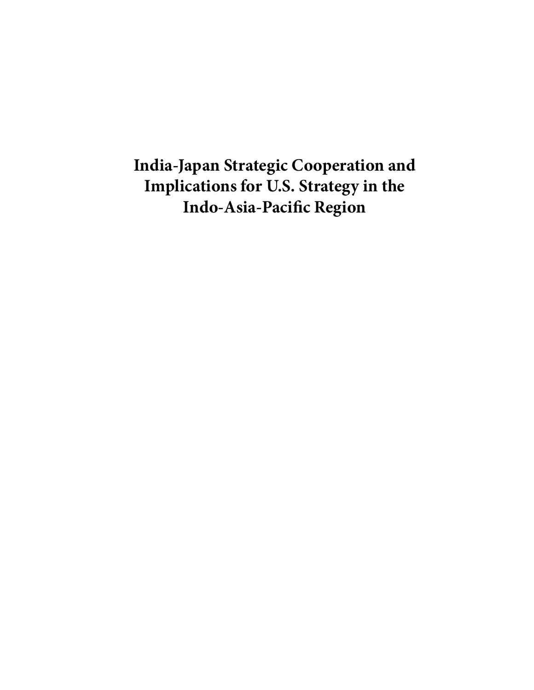**India-Japan Strategic Cooperation and Implications for U.S. Strategy in the Indo-Asia-Pacific Region**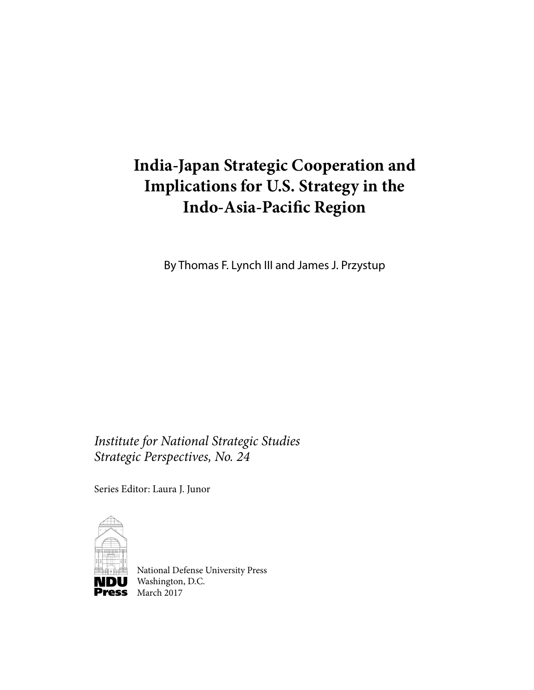# **India-Japan Strategic Cooperation and Implications for U.S. Strategy in the Indo-Asia-Pacific Region**

By Thomas F. Lynch III and James J. Przystup

*Institute for National Strategic Studies Strategic Perspectives, No. 24*

Series Editor: Laura J. Junor



National Defense University Press **NDU** Washington, D.C. Press March 2017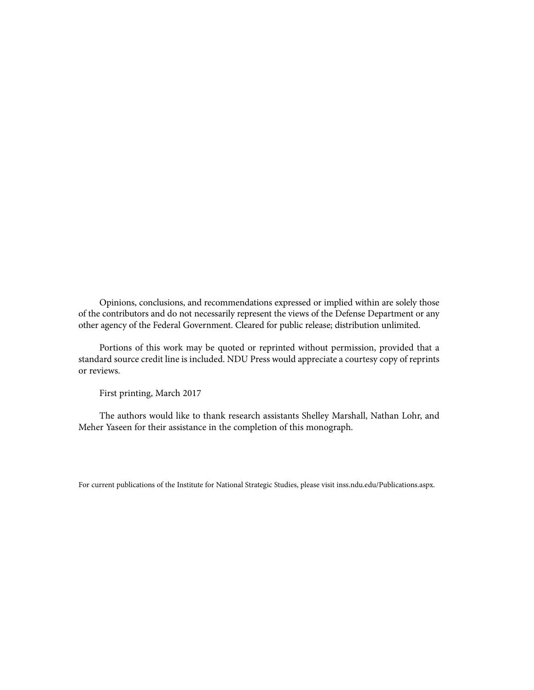Opinions, conclusions, and recommendations expressed or implied within are solely those of the contributors and do not necessarily represent the views of the Defense Department or any other agency of the Federal Government. Cleared for public release; distribution unlimited.

Portions of this work may be quoted or reprinted without permission, provided that a standard source credit line is included. NDU Press would appreciate a courtesy copy of reprints or reviews.

First printing, March 2017

The authors would like to thank research assistants Shelley Marshall, Nathan Lohr, and Meher Yaseen for their assistance in the completion of this monograph.

For current publications of the Institute for National Strategic Studies, please visit inss.ndu.edu/Publications.aspx.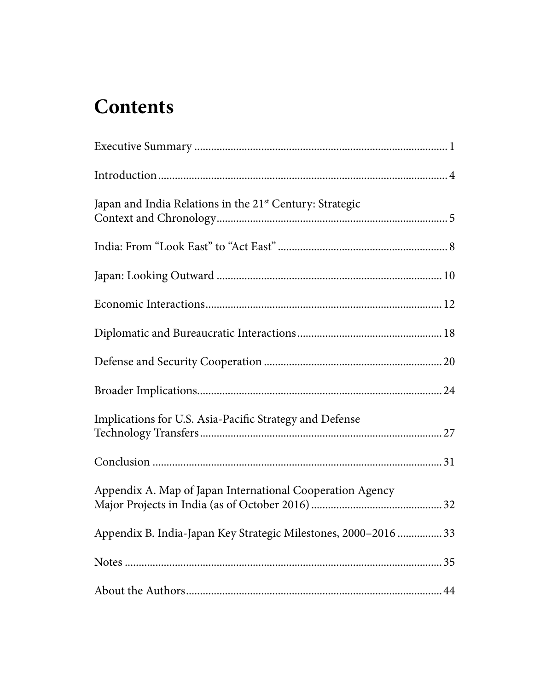# **Contents**

| Japan and India Relations in the 21 <sup>st</sup> Century: Strategic |  |
|----------------------------------------------------------------------|--|
|                                                                      |  |
|                                                                      |  |
|                                                                      |  |
|                                                                      |  |
|                                                                      |  |
|                                                                      |  |
| Implications for U.S. Asia-Pacific Strategy and Defense              |  |
|                                                                      |  |
| Appendix A. Map of Japan International Cooperation Agency            |  |
| Appendix B. India-Japan Key Strategic Milestones, 2000-2016  33      |  |
|                                                                      |  |
|                                                                      |  |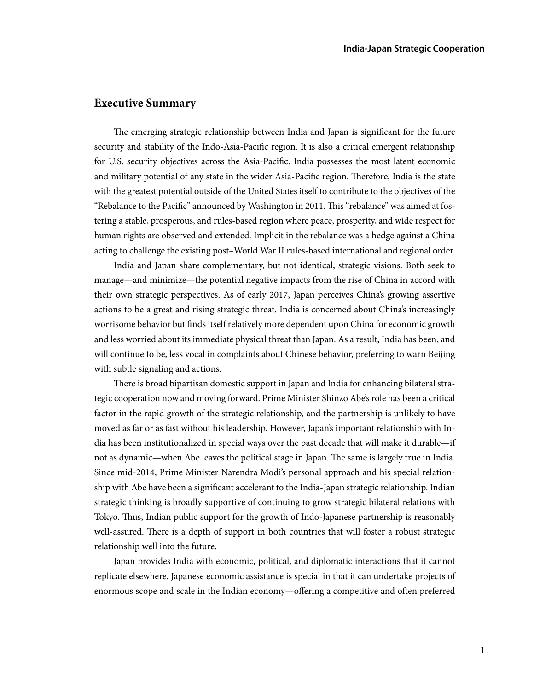#### **Executive Summary**

The emerging strategic relationship between India and Japan is significant for the future security and stability of the Indo-Asia-Pacific region. It is also a critical emergent relationship for U.S. security objectives across the Asia-Pacific. India possesses the most latent economic and military potential of any state in the wider Asia-Pacific region. Therefore, India is the state with the greatest potential outside of the United States itself to contribute to the objectives of the "Rebalance to the Pacific" announced by Washington in 2011. This "rebalance" was aimed at fostering a stable, prosperous, and rules-based region where peace, prosperity, and wide respect for human rights are observed and extended. Implicit in the rebalance was a hedge against a China acting to challenge the existing post–World War II rules-based international and regional order.

India and Japan share complementary, but not identical, strategic visions. Both seek to manage—and minimize—the potential negative impacts from the rise of China in accord with their own strategic perspectives. As of early 2017, Japan perceives China's growing assertive actions to be a great and rising strategic threat. India is concerned about China's increasingly worrisome behavior but finds itself relatively more dependent upon China for economic growth and less worried about its immediate physical threat than Japan. As a result, India has been, and will continue to be, less vocal in complaints about Chinese behavior, preferring to warn Beijing with subtle signaling and actions.

There is broad bipartisan domestic support in Japan and India for enhancing bilateral strategic cooperation now and moving forward. Prime Minister Shinzo Abe's role has been a critical factor in the rapid growth of the strategic relationship, and the partnership is unlikely to have moved as far or as fast without his leadership. However, Japan's important relationship with India has been institutionalized in special ways over the past decade that will make it durable—if not as dynamic—when Abe leaves the political stage in Japan. The same is largely true in India. Since mid-2014, Prime Minister Narendra Modi's personal approach and his special relationship with Abe have been a significant accelerant to the India-Japan strategic relationship. Indian strategic thinking is broadly supportive of continuing to grow strategic bilateral relations with Tokyo. Thus, Indian public support for the growth of Indo-Japanese partnership is reasonably well-assured. There is a depth of support in both countries that will foster a robust strategic relationship well into the future.

Japan provides India with economic, political, and diplomatic interactions that it cannot replicate elsewhere. Japanese economic assistance is special in that it can undertake projects of enormous scope and scale in the Indian economy—offering a competitive and often preferred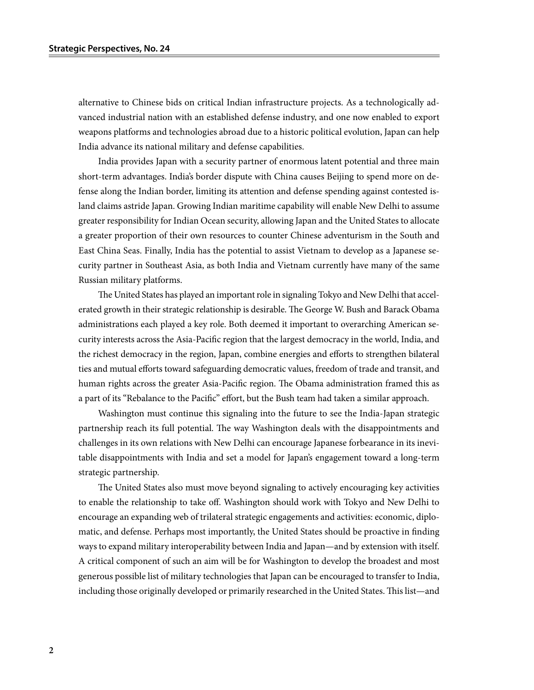alternative to Chinese bids on critical Indian infrastructure projects. As a technologically advanced industrial nation with an established defense industry, and one now enabled to export weapons platforms and technologies abroad due to a historic political evolution, Japan can help India advance its national military and defense capabilities.

India provides Japan with a security partner of enormous latent potential and three main short-term advantages. India's border dispute with China causes Beijing to spend more on defense along the Indian border, limiting its attention and defense spending against contested island claims astride Japan. Growing Indian maritime capability will enable New Delhi to assume greater responsibility for Indian Ocean security, allowing Japan and the United States to allocate a greater proportion of their own resources to counter Chinese adventurism in the South and East China Seas. Finally, India has the potential to assist Vietnam to develop as a Japanese security partner in Southeast Asia, as both India and Vietnam currently have many of the same Russian military platforms.

The United States has played an important role in signaling Tokyo and New Delhi that accelerated growth in their strategic relationship is desirable. The George W. Bush and Barack Obama administrations each played a key role. Both deemed it important to overarching American security interests across the Asia-Pacific region that the largest democracy in the world, India, and the richest democracy in the region, Japan, combine energies and efforts to strengthen bilateral ties and mutual efforts toward safeguarding democratic values, freedom of trade and transit, and human rights across the greater Asia-Pacific region. The Obama administration framed this as a part of its "Rebalance to the Pacific" effort, but the Bush team had taken a similar approach.

Washington must continue this signaling into the future to see the India-Japan strategic partnership reach its full potential. The way Washington deals with the disappointments and challenges in its own relations with New Delhi can encourage Japanese forbearance in its inevitable disappointments with India and set a model for Japan's engagement toward a long-term strategic partnership.

The United States also must move beyond signaling to actively encouraging key activities to enable the relationship to take off. Washington should work with Tokyo and New Delhi to encourage an expanding web of trilateral strategic engagements and activities: economic, diplomatic, and defense. Perhaps most importantly, the United States should be proactive in finding ways to expand military interoperability between India and Japan—and by extension with itself. A critical component of such an aim will be for Washington to develop the broadest and most generous possible list of military technologies that Japan can be encouraged to transfer to India, including those originally developed or primarily researched in the United States. This list—and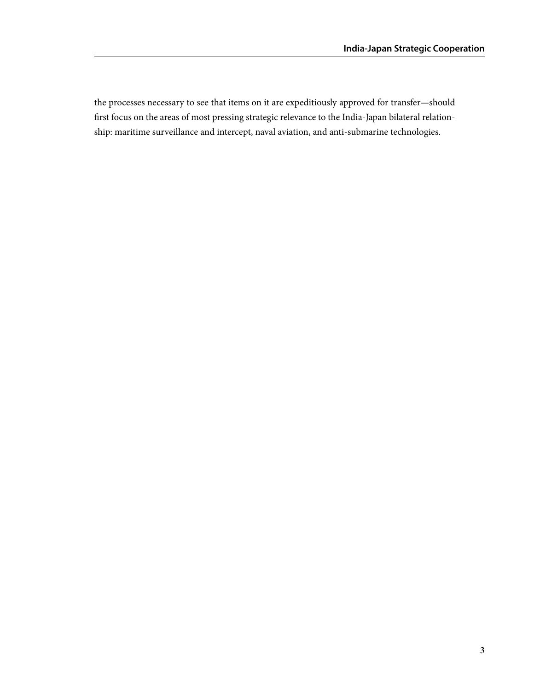the processes necessary to see that items on it are expeditiously approved for transfer—should first focus on the areas of most pressing strategic relevance to the India-Japan bilateral relationship: maritime surveillance and intercept, naval aviation, and anti-submarine technologies.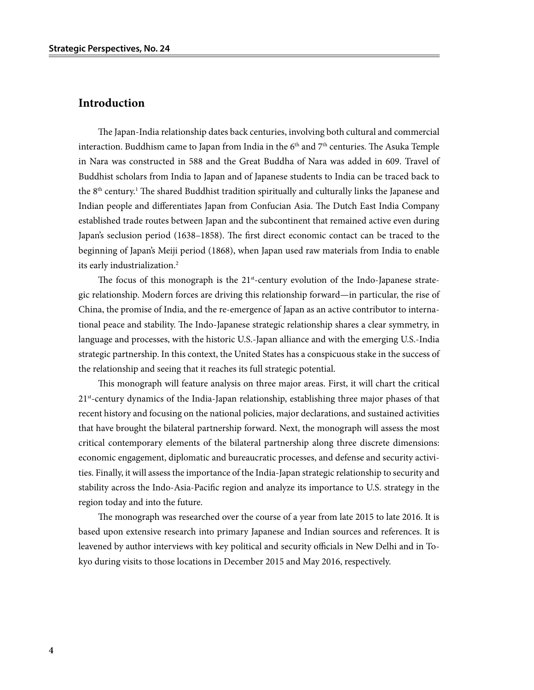#### **Introduction**

The Japan-India relationship dates back centuries, involving both cultural and commercial interaction. Buddhism came to Japan from India in the  $6<sup>th</sup>$  and  $7<sup>th</sup>$  centuries. The Asuka Temple in Nara was constructed in 588 and the Great Buddha of Nara was added in 609. Travel of Buddhist scholars from India to Japan and of Japanese students to India can be traced back to the 8<sup>th</sup> century.<sup>1</sup> The shared Buddhist tradition spiritually and culturally links the Japanese and Indian people and differentiates Japan from Confucian Asia. The Dutch East India Company established trade routes between Japan and the subcontinent that remained active even during Japan's seclusion period (1638–1858). The first direct economic contact can be traced to the beginning of Japan's Meiji period (1868), when Japan used raw materials from India to enable its early industrialization.2

The focus of this monograph is the  $21<sup>st</sup>$ -century evolution of the Indo-Japanese strategic relationship. Modern forces are driving this relationship forward—in particular, the rise of China, the promise of India, and the re-emergence of Japan as an active contributor to international peace and stability. The Indo-Japanese strategic relationship shares a clear symmetry, in language and processes, with the historic U.S.-Japan alliance and with the emerging U.S.-India strategic partnership. In this context, the United States has a conspicuous stake in the success of the relationship and seeing that it reaches its full strategic potential.

This monograph will feature analysis on three major areas. First, it will chart the critical 21st-century dynamics of the India-Japan relationship, establishing three major phases of that recent history and focusing on the national policies, major declarations, and sustained activities that have brought the bilateral partnership forward. Next, the monograph will assess the most critical contemporary elements of the bilateral partnership along three discrete dimensions: economic engagement, diplomatic and bureaucratic processes, and defense and security activities. Finally, it will assess the importance of the India-Japan strategic relationship to security and stability across the Indo-Asia-Pacific region and analyze its importance to U.S. strategy in the region today and into the future.

The monograph was researched over the course of a year from late 2015 to late 2016. It is based upon extensive research into primary Japanese and Indian sources and references. It is leavened by author interviews with key political and security officials in New Delhi and in Tokyo during visits to those locations in December 2015 and May 2016, respectively.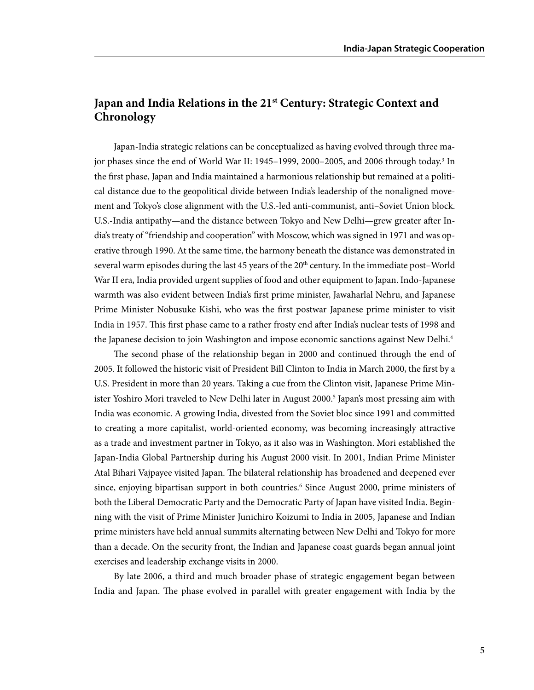## **Japan and India Relations in the 21st Century: Strategic Context and Chronology**

Japan-India strategic relations can be conceptualized as having evolved through three major phases since the end of World War II: 1945–1999, 2000–2005, and 2006 through today.<sup>3</sup> In the first phase, Japan and India maintained a harmonious relationship but remained at a political distance due to the geopolitical divide between India's leadership of the nonaligned movement and Tokyo's close alignment with the U.S.-led anti-communist, anti–Soviet Union block. U.S.-India antipathy—and the distance between Tokyo and New Delhi—grew greater after India's treaty of "friendship and cooperation" with Moscow, which was signed in 1971 and was operative through 1990. At the same time, the harmony beneath the distance was demonstrated in several warm episodes during the last 45 years of the 20<sup>th</sup> century. In the immediate post–World War II era, India provided urgent supplies of food and other equipment to Japan. Indo-Japanese warmth was also evident between India's first prime minister, Jawaharlal Nehru, and Japanese Prime Minister Nobusuke Kishi, who was the first postwar Japanese prime minister to visit India in 1957. This first phase came to a rather frosty end after India's nuclear tests of 1998 and the Japanese decision to join Washington and impose economic sanctions against New Delhi.<sup>4</sup>

The second phase of the relationship began in 2000 and continued through the end of 2005. It followed the historic visit of President Bill Clinton to India in March 2000, the first by a U.S. President in more than 20 years. Taking a cue from the Clinton visit, Japanese Prime Minister Yoshiro Mori traveled to New Delhi later in August 2000.<sup>5</sup> Japan's most pressing aim with India was economic. A growing India, divested from the Soviet bloc since 1991 and committed to creating a more capitalist, world-oriented economy, was becoming increasingly attractive as a trade and investment partner in Tokyo, as it also was in Washington. Mori established the Japan-India Global Partnership during his August 2000 visit. In 2001, Indian Prime Minister Atal Bihari Vajpayee visited Japan. The bilateral relationship has broadened and deepened ever since, enjoying bipartisan support in both countries.<sup>6</sup> Since August 2000, prime ministers of both the Liberal Democratic Party and the Democratic Party of Japan have visited India. Beginning with the visit of Prime Minister Junichiro Koizumi to India in 2005, Japanese and Indian prime ministers have held annual summits alternating between New Delhi and Tokyo for more than a decade. On the security front, the Indian and Japanese coast guards began annual joint exercises and leadership exchange visits in 2000.

By late 2006, a third and much broader phase of strategic engagement began between India and Japan. The phase evolved in parallel with greater engagement with India by the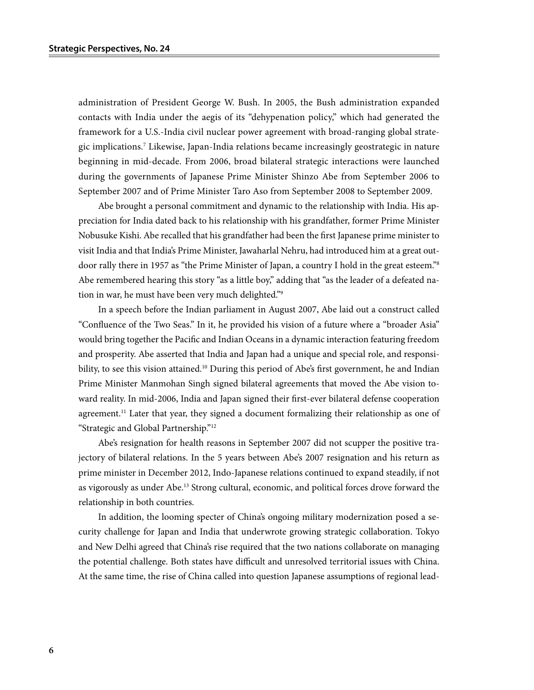administration of President George W. Bush. In 2005, the Bush administration expanded contacts with India under the aegis of its "dehypenation policy," which had generated the framework for a U.S.-India civil nuclear power agreement with broad-ranging global strategic implications.7 Likewise, Japan-India relations became increasingly geostrategic in nature beginning in mid-decade. From 2006, broad bilateral strategic interactions were launched during the governments of Japanese Prime Minister Shinzo Abe from September 2006 to September 2007 and of Prime Minister Taro Aso from September 2008 to September 2009.

Abe brought a personal commitment and dynamic to the relationship with India. His appreciation for India dated back to his relationship with his grandfather, former Prime Minister Nobusuke Kishi. Abe recalled that his grandfather had been the first Japanese prime minister to visit India and that India's Prime Minister, Jawaharlal Nehru, had introduced him at a great outdoor rally there in 1957 as "the Prime Minister of Japan, a country I hold in the great esteem."8 Abe remembered hearing this story "as a little boy," adding that "as the leader of a defeated nation in war, he must have been very much delighted."9

In a speech before the Indian parliament in August 2007, Abe laid out a construct called "Confluence of the Two Seas." In it, he provided his vision of a future where a "broader Asia" would bring together the Pacific and Indian Oceans in a dynamic interaction featuring freedom and prosperity. Abe asserted that India and Japan had a unique and special role, and responsibility, to see this vision attained.<sup>10</sup> During this period of Abe's first government, he and Indian Prime Minister Manmohan Singh signed bilateral agreements that moved the Abe vision toward reality. In mid-2006, India and Japan signed their first-ever bilateral defense cooperation agreement.<sup>11</sup> Later that year, they signed a document formalizing their relationship as one of "Strategic and Global Partnership."12

Abe's resignation for health reasons in September 2007 did not scupper the positive trajectory of bilateral relations. In the 5 years between Abe's 2007 resignation and his return as prime minister in December 2012, Indo-Japanese relations continued to expand steadily, if not as vigorously as under Abe.13 Strong cultural, economic, and political forces drove forward the relationship in both countries.

In addition, the looming specter of China's ongoing military modernization posed a security challenge for Japan and India that underwrote growing strategic collaboration. Tokyo and New Delhi agreed that China's rise required that the two nations collaborate on managing the potential challenge. Both states have difficult and unresolved territorial issues with China. At the same time, the rise of China called into question Japanese assumptions of regional lead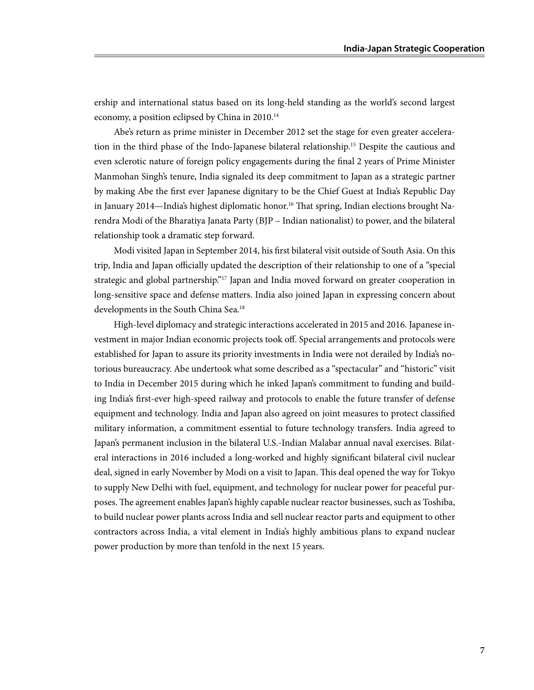ership and international status based on its long-held standing as the world's second largest economy, a position eclipsed by China in 2010.<sup>14</sup>

Abe's return as prime minister in December 2012 set the stage for even greater acceleration in the third phase of the Indo-Japanese bilateral relationship.15 Despite the cautious and even sclerotic nature of foreign policy engagements during the final 2 years of Prime Minister Manmohan Singh's tenure, India signaled its deep commitment to Japan as a strategic partner by making Abe the first ever Japanese dignitary to be the Chief Guest at India's Republic Day in January 2014—India's highest diplomatic honor.<sup>16</sup> That spring, Indian elections brought Narendra Modi of the Bharatiya Janata Party (BJP – Indian nationalist) to power, and the bilateral relationship took a dramatic step forward.

Modi visited Japan in September 2014, his first bilateral visit outside of South Asia. On this trip, India and Japan officially updated the description of their relationship to one of a "special strategic and global partnership."<sup>17</sup> Japan and India moved forward on greater cooperation in long-sensitive space and defense matters. India also joined Japan in expressing concern about developments in the South China Sea.18

High-level diplomacy and strategic interactions accelerated in 2015 and 2016. Japanese investment in major Indian economic projects took off. Special arrangements and protocols were established for Japan to assure its priority investments in India were not derailed by India's notorious bureaucracy. Abe undertook what some described as a "spectacular" and "historic" visit to India in December 2015 during which he inked Japan's commitment to funding and building India's first-ever high-speed railway and protocols to enable the future transfer of defense equipment and technology. India and Japan also agreed on joint measures to protect classified military information, a commitment essential to future technology transfers. India agreed to Japan's permanent inclusion in the bilateral U.S.-Indian Malabar annual naval exercises. Bilateral interactions in 2016 included a long-worked and highly significant bilateral civil nuclear deal, signed in early November by Modi on a visit to Japan. This deal opened the way for Tokyo to supply New Delhi with fuel, equipment, and technology for nuclear power for peaceful purposes. The agreement enables Japan's highly capable nuclear reactor businesses, such as Toshiba, to build nuclear power plants across India and sell nuclear reactor parts and equipment to other contractors across India, a vital element in India's highly ambitious plans to expand nuclear power production by more than tenfold in the next 15 years.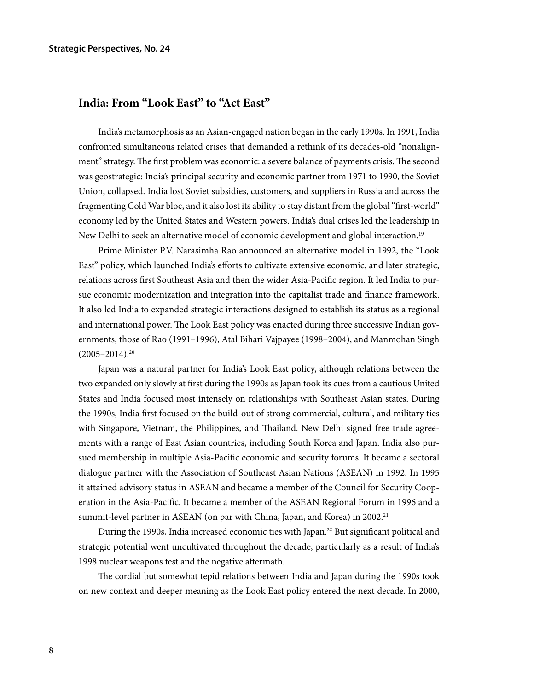#### **India: From "Look East" to "Act East"**

India's metamorphosis as an Asian-engaged nation began in the early 1990s. In 1991, India confronted simultaneous related crises that demanded a rethink of its decades-old "nonalignment" strategy. The first problem was economic: a severe balance of payments crisis. The second was geostrategic: India's principal security and economic partner from 1971 to 1990, the Soviet Union, collapsed. India lost Soviet subsidies, customers, and suppliers in Russia and across the fragmenting Cold War bloc, and it also lost its ability to stay distant from the global "first-world" economy led by the United States and Western powers. India's dual crises led the leadership in New Delhi to seek an alternative model of economic development and global interaction.19

Prime Minister P.V. Narasimha Rao announced an alternative model in 1992, the "Look East" policy, which launched India's efforts to cultivate extensive economic, and later strategic, relations across first Southeast Asia and then the wider Asia-Pacific region. It led India to pursue economic modernization and integration into the capitalist trade and finance framework. It also led India to expanded strategic interactions designed to establish its status as a regional and international power. The Look East policy was enacted during three successive Indian governments, those of Rao (1991–1996), Atal Bihari Vajpayee (1998–2004), and Manmohan Singh  $(2005 - 2014).^{20}$ 

Japan was a natural partner for India's Look East policy, although relations between the two expanded only slowly at first during the 1990s as Japan took its cues from a cautious United States and India focused most intensely on relationships with Southeast Asian states. During the 1990s, India first focused on the build-out of strong commercial, cultural, and military ties with Singapore, Vietnam, the Philippines, and Thailand. New Delhi signed free trade agreements with a range of East Asian countries, including South Korea and Japan. India also pursued membership in multiple Asia-Pacific economic and security forums. It became a sectoral dialogue partner with the Association of Southeast Asian Nations (ASEAN) in 1992. In 1995 it attained advisory status in ASEAN and became a member of the Council for Security Cooperation in the Asia-Pacific. It became a member of the ASEAN Regional Forum in 1996 and a summit-level partner in ASEAN (on par with China, Japan, and Korea) in 2002.<sup>21</sup>

During the 1990s, India increased economic ties with Japan.<sup>22</sup> But significant political and strategic potential went uncultivated throughout the decade, particularly as a result of India's 1998 nuclear weapons test and the negative aftermath.

The cordial but somewhat tepid relations between India and Japan during the 1990s took on new context and deeper meaning as the Look East policy entered the next decade. In 2000,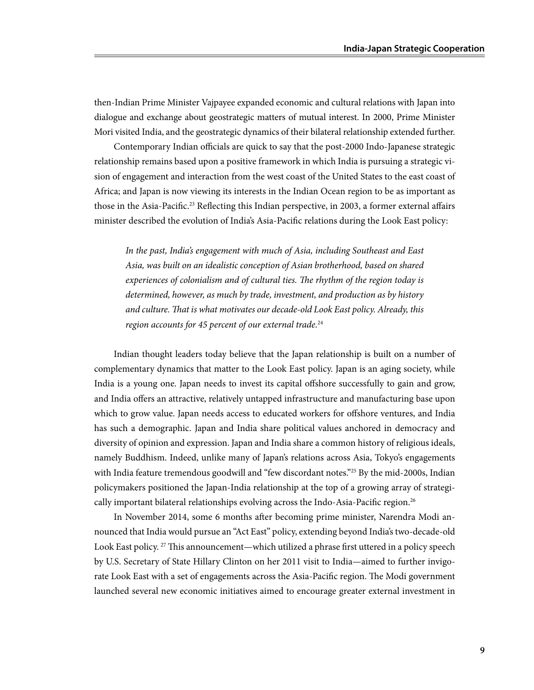then-Indian Prime Minister Vajpayee expanded economic and cultural relations with Japan into dialogue and exchange about geostrategic matters of mutual interest. In 2000, Prime Minister Mori visited India, and the geostrategic dynamics of their bilateral relationship extended further.

Contemporary Indian officials are quick to say that the post-2000 Indo-Japanese strategic relationship remains based upon a positive framework in which India is pursuing a strategic vision of engagement and interaction from the west coast of the United States to the east coast of Africa; and Japan is now viewing its interests in the Indian Ocean region to be as important as those in the Asia-Pacific.<sup>23</sup> Reflecting this Indian perspective, in 2003, a former external affairs minister described the evolution of India's Asia-Pacific relations during the Look East policy:

*In the past, India's engagement with much of Asia, including Southeast and East Asia, was built on an idealistic conception of Asian brotherhood, based on shared experiences of colonialism and of cultural ties. The rhythm of the region today is determined, however, as much by trade, investment, and production as by history and culture. That is what motivates our decade-old Look East policy. Already, this region accounts for 45 percent of our external trade.*<sup>24</sup>

Indian thought leaders today believe that the Japan relationship is built on a number of complementary dynamics that matter to the Look East policy. Japan is an aging society, while India is a young one. Japan needs to invest its capital offshore successfully to gain and grow, and India offers an attractive, relatively untapped infrastructure and manufacturing base upon which to grow value. Japan needs access to educated workers for offshore ventures, and India has such a demographic. Japan and India share political values anchored in democracy and diversity of opinion and expression. Japan and India share a common history of religious ideals, namely Buddhism. Indeed, unlike many of Japan's relations across Asia, Tokyo's engagements with India feature tremendous goodwill and "few discordant notes."<sup>25</sup> By the mid-2000s, Indian policymakers positioned the Japan-India relationship at the top of a growing array of strategically important bilateral relationships evolving across the Indo-Asia-Pacific region.<sup>26</sup>

In November 2014, some 6 months after becoming prime minister, Narendra Modi announced that India would pursue an "Act East" policy, extending beyond India's two-decade-old Look East policy.<sup>27</sup> This announcement—which utilized a phrase first uttered in a policy speech by U.S. Secretary of State Hillary Clinton on her 2011 visit to India—aimed to further invigorate Look East with a set of engagements across the Asia-Pacific region. The Modi government launched several new economic initiatives aimed to encourage greater external investment in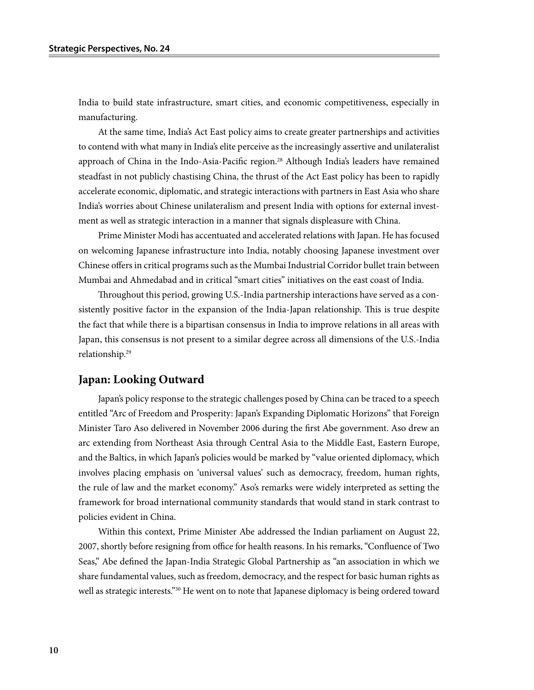India to build state infrastructure, smart cities, and economic competitiveness, especially in manufacturing.

At the same time, India's Act East policy aims to create greater partnerships and activities to contend with what many in India's elite perceive as the increasingly assertive and unilateralist approach of China in the Indo-Asia-Pacific region.<sup>28</sup> Although India's leaders have remained steadfast in not publicly chastising China, the thrust of the Act East policy has been to rapidly accelerate economic, diplomatic, and strategic interactions with partners in East Asia who share India's worries about Chinese unilateralism and present India with options for external investment as well as strategic interaction in a manner that signals displeasure with China.

Prime Minister Modi has accentuated and accelerated relations with Japan. He has focused on welcoming Japanese infrastructure into India, notably choosing Japanese investment over Chinese offers in critical programs such as the Mumbai Industrial Corridor bullet train between Mumbai and Ahmedabad and in critical "smart cities" initiatives on the east coast of India.

Throughout this period, growing U.S.-India partnership interactions have served as a consistently positive factor in the expansion of the India-Japan relationship. This is true despite the fact that while there is a bipartisan consensus in India to improve relations in all areas with Japan, this consensus is not present to a similar degree across all dimensions of the U.S.-India relationship.29

#### **Japan: Looking Outward**

Japan's policy response to the strategic challenges posed by China can be traced to a speech entitled "Arc of Freedom and Prosperity: Japan's Expanding Diplomatic Horizons" that Foreign Minister Taro Aso delivered in November 2006 during the first Abe government. Aso drew an arc extending from Northeast Asia through Central Asia to the Middle East, Eastern Europe, and the Baltics, in which Japan's policies would be marked by "value oriented diplomacy, which involves placing emphasis on 'universal values' such as democracy, freedom, human rights, the rule of law and the market economy." Aso's remarks were widely interpreted as setting the framework for broad international community standards that would stand in stark contrast to policies evident in China.

Within this context, Prime Minister Abe addressed the Indian parliament on August 22, 2007, shortly before resigning from office for health reasons. In his remarks, "Confluence of Two Seas," Abe defined the Japan-India Strategic Global Partnership as "an association in which we share fundamental values, such as freedom, democracy, and the respect for basic human rights as well as strategic interests."<sup>30</sup> He went on to note that Japanese diplomacy is being ordered toward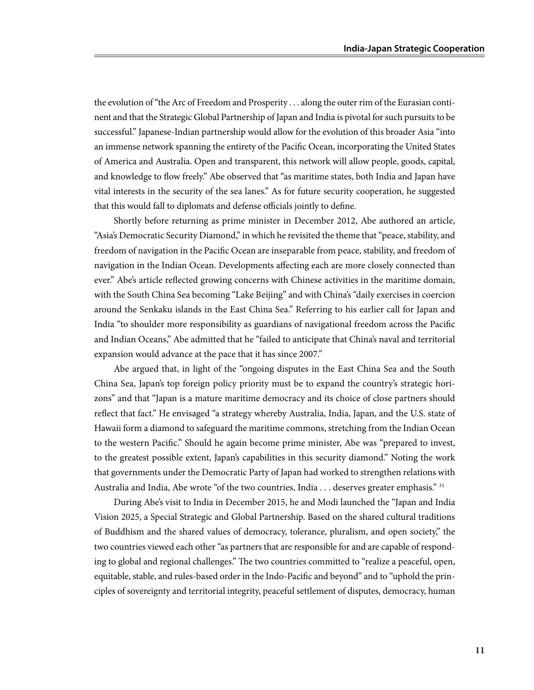the evolution of "the Arc of Freedom and Prosperity . . . along the outer rim of the Eurasian continent and that the Strategic Global Partnership of Japan and India is pivotal for such pursuits to be successful." Japanese-Indian partnership would allow for the evolution of this broader Asia "into an immense network spanning the entirety of the Pacific Ocean, incorporating the United States of America and Australia. Open and transparent, this network will allow people, goods, capital, and knowledge to flow freely." Abe observed that "as maritime states, both India and Japan have vital interests in the security of the sea lanes." As for future security cooperation, he suggested that this would fall to diplomats and defense officials jointly to define.

Shortly before returning as prime minister in December 2012, Abe authored an article, "Asia's Democratic Security Diamond," in which he revisited the theme that "peace, stability, and freedom of navigation in the Pacific Ocean are inseparable from peace, stability, and freedom of navigation in the Indian Ocean. Developments affecting each are more closely connected than ever." Abe's article reflected growing concerns with Chinese activities in the maritime domain, with the South China Sea becoming "Lake Beijing" and with China's "daily exercises in coercion around the Senkaku islands in the East China Sea." Referring to his earlier call for Japan and India "to shoulder more responsibility as guardians of navigational freedom across the Pacific and Indian Oceans," Abe admitted that he "failed to anticipate that China's naval and territorial expansion would advance at the pace that it has since 2007."

Abe argued that, in light of the "ongoing disputes in the East China Sea and the South China Sea, Japan's top foreign policy priority must be to expand the country's strategic horizons" and that "Japan is a mature maritime democracy and its choice of close partners should reflect that fact." He envisaged "a strategy whereby Australia, India, Japan, and the U.S. state of Hawaii form a diamond to safeguard the maritime commons, stretching from the Indian Ocean to the western Pacific." Should he again become prime minister, Abe was "prepared to invest, to the greatest possible extent, Japan's capabilities in this security diamond." Noting the work that governments under the Democratic Party of Japan had worked to strengthen relations with Australia and India, Abe wrote "of the two countries, India  $\dots$  deserves greater emphasis."  $31$ 

During Abe's visit to India in December 2015, he and Modi launched the "Japan and India Vision 2025, a Special Strategic and Global Partnership. Based on the shared cultural traditions of Buddhism and the shared values of democracy, tolerance, pluralism, and open society," the two countries viewed each other "as partners that are responsible for and are capable of responding to global and regional challenges." The two countries committed to "realize a peaceful, open, equitable, stable, and rules-based order in the Indo-Pacific and beyond" and to "uphold the principles of sovereignty and territorial integrity, peaceful settlement of disputes, democracy, human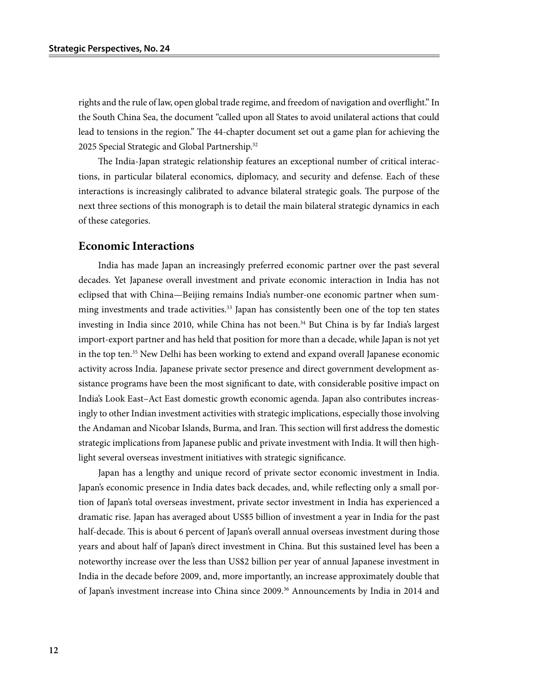rights and the rule of law, open global trade regime, and freedom of navigation and overflight." In the South China Sea, the document "called upon all States to avoid unilateral actions that could lead to tensions in the region." The 44-chapter document set out a game plan for achieving the 2025 Special Strategic and Global Partnership.<sup>32</sup>

The India-Japan strategic relationship features an exceptional number of critical interactions, in particular bilateral economics, diplomacy, and security and defense. Each of these interactions is increasingly calibrated to advance bilateral strategic goals. The purpose of the next three sections of this monograph is to detail the main bilateral strategic dynamics in each of these categories.

#### **Economic Interactions**

India has made Japan an increasingly preferred economic partner over the past several decades. Yet Japanese overall investment and private economic interaction in India has not eclipsed that with China—Beijing remains India's number-one economic partner when summing investments and trade activities.<sup>33</sup> Japan has consistently been one of the top ten states investing in India since 2010, while China has not been.<sup>34</sup> But China is by far India's largest import-export partner and has held that position for more than a decade, while Japan is not yet in the top ten.<sup>35</sup> New Delhi has been working to extend and expand overall Japanese economic activity across India. Japanese private sector presence and direct government development assistance programs have been the most significant to date, with considerable positive impact on India's Look East–Act East domestic growth economic agenda. Japan also contributes increasingly to other Indian investment activities with strategic implications, especially those involving the Andaman and Nicobar Islands, Burma, and Iran. This section will first address the domestic strategic implications from Japanese public and private investment with India. It will then highlight several overseas investment initiatives with strategic significance.

Japan has a lengthy and unique record of private sector economic investment in India. Japan's economic presence in India dates back decades, and, while reflecting only a small portion of Japan's total overseas investment, private sector investment in India has experienced a dramatic rise. Japan has averaged about US\$5 billion of investment a year in India for the past half-decade. This is about 6 percent of Japan's overall annual overseas investment during those years and about half of Japan's direct investment in China. But this sustained level has been a noteworthy increase over the less than US\$2 billion per year of annual Japanese investment in India in the decade before 2009, and, more importantly, an increase approximately double that of Japan's investment increase into China since 2009.36 Announcements by India in 2014 and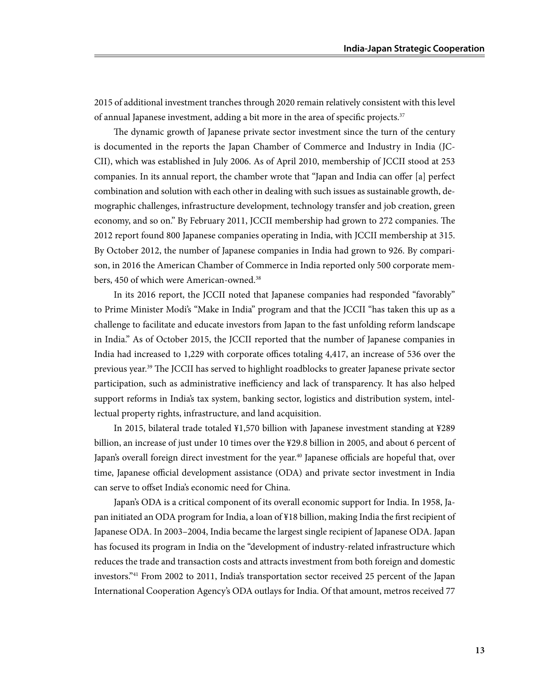2015 of additional investment tranches through 2020 remain relatively consistent with this level of annual Japanese investment, adding a bit more in the area of specific projects.37

The dynamic growth of Japanese private sector investment since the turn of the century is documented in the reports the Japan Chamber of Commerce and Industry in India (JC-CII), which was established in July 2006. As of April 2010, membership of JCCII stood at 253 companies. In its annual report, the chamber wrote that "Japan and India can offer [a] perfect combination and solution with each other in dealing with such issues as sustainable growth, demographic challenges, infrastructure development, technology transfer and job creation, green economy, and so on." By February 2011, JCCII membership had grown to 272 companies. The 2012 report found 800 Japanese companies operating in India, with JCCII membership at 315. By October 2012, the number of Japanese companies in India had grown to 926. By comparison, in 2016 the American Chamber of Commerce in India reported only 500 corporate members, 450 of which were American-owned.<sup>38</sup>

In its 2016 report, the JCCII noted that Japanese companies had responded "favorably" to Prime Minister Modi's "Make in India" program and that the JCCII "has taken this up as a challenge to facilitate and educate investors from Japan to the fast unfolding reform landscape in India." As of October 2015, the JCCII reported that the number of Japanese companies in India had increased to 1,229 with corporate offices totaling 4,417, an increase of 536 over the previous year.<sup>39</sup> The JCCII has served to highlight roadblocks to greater Japanese private sector participation, such as administrative inefficiency and lack of transparency. It has also helped support reforms in India's tax system, banking sector, logistics and distribution system, intellectual property rights, infrastructure, and land acquisition.

In 2015, bilateral trade totaled ¥1,570 billion with Japanese investment standing at ¥289 billion, an increase of just under 10 times over the ¥29.8 billion in 2005, and about 6 percent of Japan's overall foreign direct investment for the year.<sup>40</sup> Japanese officials are hopeful that, over time, Japanese official development assistance (ODA) and private sector investment in India can serve to offset India's economic need for China.

Japan's ODA is a critical component of its overall economic support for India. In 1958, Japan initiated an ODA program for India, a loan of ¥18 billion, making India the first recipient of Japanese ODA. In 2003–2004, India became the largest single recipient of Japanese ODA. Japan has focused its program in India on the "development of industry-related infrastructure which reduces the trade and transaction costs and attracts investment from both foreign and domestic investors."41 From 2002 to 2011, India's transportation sector received 25 percent of the Japan International Cooperation Agency's ODA outlays for India. Of that amount, metros received 77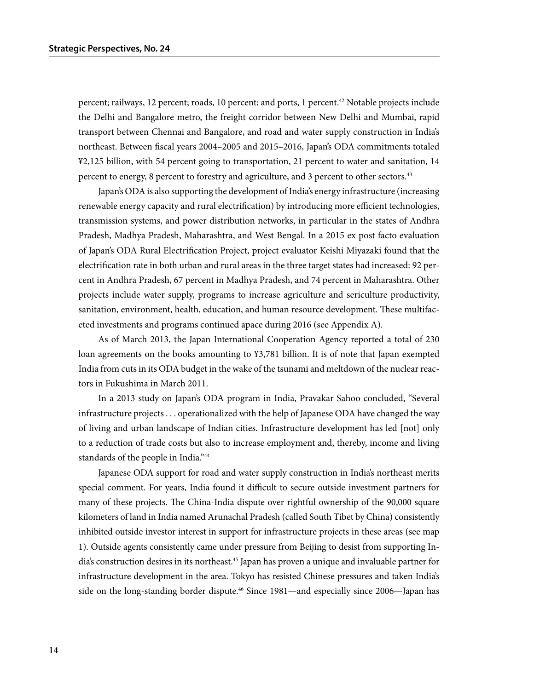percent; railways, 12 percent; roads, 10 percent; and ports, 1 percent.42 Notable projects include the Delhi and Bangalore metro, the freight corridor between New Delhi and Mumbai, rapid transport between Chennai and Bangalore, and road and water supply construction in India's northeast. Between fiscal years 2004–2005 and 2015–2016, Japan's ODA commitments totaled ¥2,125 billion, with 54 percent going to transportation, 21 percent to water and sanitation, 14 percent to energy, 8 percent to forestry and agriculture, and 3 percent to other sectors.<sup>43</sup>

Japan's ODA is also supporting the development of India's energy infrastructure (increasing renewable energy capacity and rural electrification) by introducing more efficient technologies, transmission systems, and power distribution networks, in particular in the states of Andhra Pradesh, Madhya Pradesh, Maharashtra, and West Bengal. In a 2015 ex post facto evaluation of Japan's ODA Rural Electrification Project, project evaluator Keishi Miyazaki found that the electrification rate in both urban and rural areas in the three target states had increased: 92 percent in Andhra Pradesh, 67 percent in Madhya Pradesh, and 74 percent in Maharashtra. Other projects include water supply, programs to increase agriculture and sericulture productivity, sanitation, environment, health, education, and human resource development. These multifaceted investments and programs continued apace during 2016 (see Appendix A).

As of March 2013, the Japan International Cooperation Agency reported a total of 230 loan agreements on the books amounting to ¥3,781 billion. It is of note that Japan exempted India from cuts in its ODA budget in the wake of the tsunami and meltdown of the nuclear reactors in Fukushima in March 2011.

In a 2013 study on Japan's ODA program in India, Pravakar Sahoo concluded, "Several infrastructure projects . . . operationalized with the help of Japanese ODA have changed the way of living and urban landscape of Indian cities. Infrastructure development has led [not] only to a reduction of trade costs but also to increase employment and, thereby, income and living standards of the people in India."<sup>44</sup>

Japanese ODA support for road and water supply construction in India's northeast merits special comment. For years, India found it difficult to secure outside investment partners for many of these projects. The China-India dispute over rightful ownership of the 90,000 square kilometers of land in India named Arunachal Pradesh (called South Tibet by China) consistently inhibited outside investor interest in support for infrastructure projects in these areas (see map 1). Outside agents consistently came under pressure from Beijing to desist from supporting India's construction desires in its northeast.45 Japan has proven a unique and invaluable partner for infrastructure development in the area. Tokyo has resisted Chinese pressures and taken India's side on the long-standing border dispute.<sup>46</sup> Since 1981—and especially since 2006—Japan has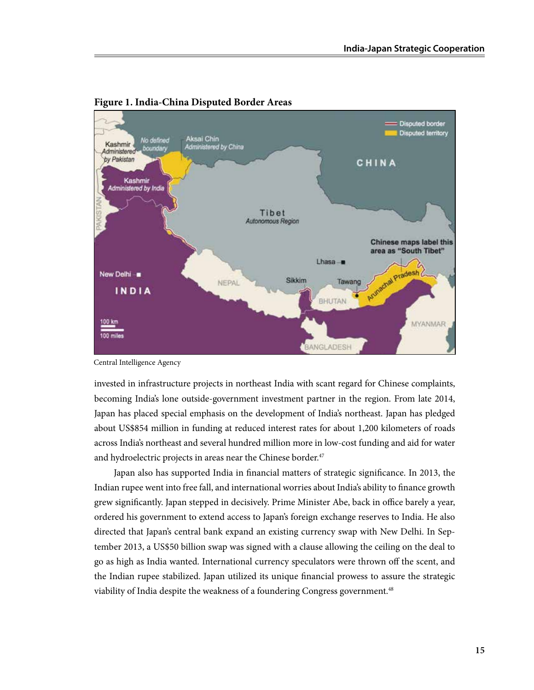

#### **Figure 1. India-China Disputed Border Areas**

Central Intelligence Agency

invested in infrastructure projects in northeast India with scant regard for Chinese complaints, becoming India's lone outside-government investment partner in the region. From late 2014, Japan has placed special emphasis on the development of India's northeast. Japan has pledged about US\$854 million in funding at reduced interest rates for about 1,200 kilometers of roads across India's northeast and several hundred million more in low-cost funding and aid for water and hydroelectric projects in areas near the Chinese border.<sup>47</sup>

Japan also has supported India in financial matters of strategic significance. In 2013, the Indian rupee went into free fall, and international worries about India's ability to finance growth grew significantly. Japan stepped in decisively. Prime Minister Abe, back in office barely a year, ordered his government to extend access to Japan's foreign exchange reserves to India. He also directed that Japan's central bank expand an existing currency swap with New Delhi. In September 2013, a US\$50 billion swap was signed with a clause allowing the ceiling on the deal to go as high as India wanted. International currency speculators were thrown off the scent, and the Indian rupee stabilized. Japan utilized its unique financial prowess to assure the strategic viability of India despite the weakness of a foundering Congress government.<sup>48</sup>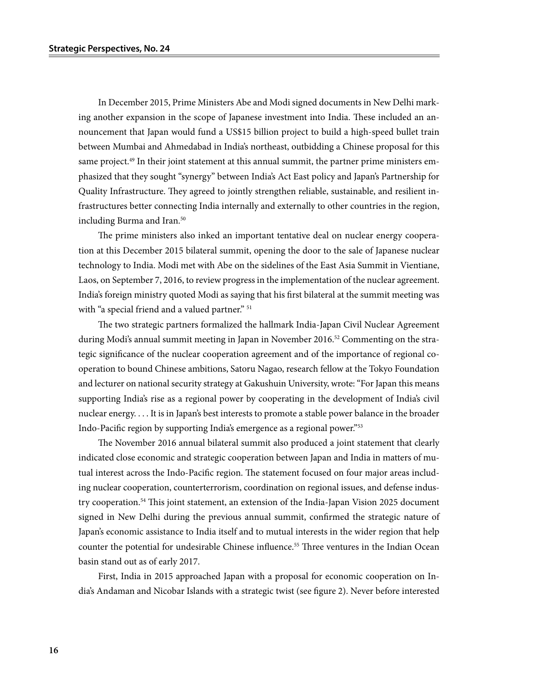In December 2015, Prime Ministers Abe and Modi signed documents in New Delhi marking another expansion in the scope of Japanese investment into India. These included an announcement that Japan would fund a US\$15 billion project to build a high-speed bullet train between Mumbai and Ahmedabad in India's northeast, outbidding a Chinese proposal for this same project.<sup>49</sup> In their joint statement at this annual summit, the partner prime ministers emphasized that they sought "synergy" between India's Act East policy and Japan's Partnership for Quality Infrastructure. They agreed to jointly strengthen reliable, sustainable, and resilient infrastructures better connecting India internally and externally to other countries in the region, including Burma and Iran.<sup>50</sup>

The prime ministers also inked an important tentative deal on nuclear energy cooperation at this December 2015 bilateral summit, opening the door to the sale of Japanese nuclear technology to India. Modi met with Abe on the sidelines of the East Asia Summit in Vientiane, Laos, on September 7, 2016, to review progress in the implementation of the nuclear agreement. India's foreign ministry quoted Modi as saying that his first bilateral at the summit meeting was with "a special friend and a valued partner." <sup>51</sup>

The two strategic partners formalized the hallmark India-Japan Civil Nuclear Agreement during Modi's annual summit meeting in Japan in November 2016.<sup>52</sup> Commenting on the strategic significance of the nuclear cooperation agreement and of the importance of regional cooperation to bound Chinese ambitions, Satoru Nagao, research fellow at the Tokyo Foundation and lecturer on national security strategy at Gakushuin University, wrote: "For Japan this means supporting India's rise as a regional power by cooperating in the development of India's civil nuclear energy. . . . It is in Japan's best interests to promote a stable power balance in the broader Indo-Pacific region by supporting India's emergence as a regional power."53

The November 2016 annual bilateral summit also produced a joint statement that clearly indicated close economic and strategic cooperation between Japan and India in matters of mutual interest across the Indo-Pacific region. The statement focused on four major areas including nuclear cooperation, counterterrorism, coordination on regional issues, and defense industry cooperation.54 This joint statement, an extension of the India-Japan Vision 2025 document signed in New Delhi during the previous annual summit, confirmed the strategic nature of Japan's economic assistance to India itself and to mutual interests in the wider region that help counter the potential for undesirable Chinese influence.<sup>55</sup> Three ventures in the Indian Ocean basin stand out as of early 2017.

First, India in 2015 approached Japan with a proposal for economic cooperation on India's Andaman and Nicobar Islands with a strategic twist (see figure 2). Never before interested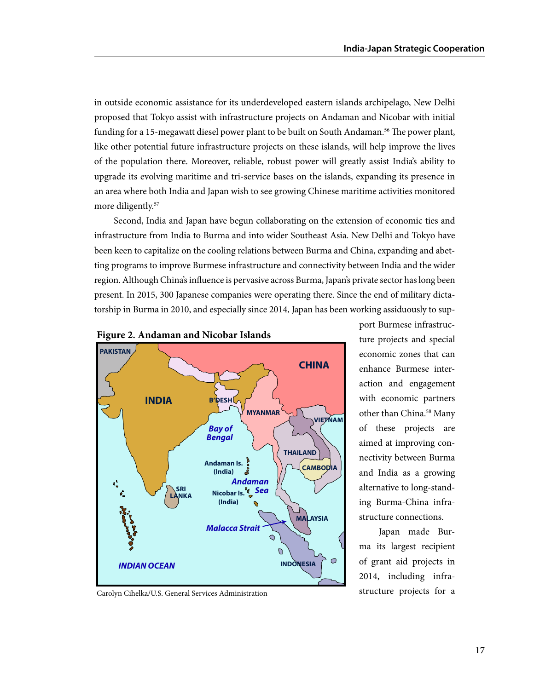in outside economic assistance for its underdeveloped eastern islands archipelago, New Delhi proposed that Tokyo assist with infrastructure projects on Andaman and Nicobar with initial funding for a 15-megawatt diesel power plant to be built on South Andaman.<sup>56</sup> The power plant, like other potential future infrastructure projects on these islands, will help improve the lives of the population there. Moreover, reliable, robust power will greatly assist India's ability to upgrade its evolving maritime and tri-service bases on the islands, expanding its presence in an area where both India and Japan wish to see growing Chinese maritime activities monitored more diligently.<sup>57</sup>

Second, India and Japan have begun collaborating on the extension of economic ties and infrastructure from India to Burma and into wider Southeast Asia. New Delhi and Tokyo have been keen to capitalize on the cooling relations between Burma and China, expanding and abetting programs to improve Burmese infrastructure and connectivity between India and the wider region. Although China's influence is pervasive across Burma, Japan's private sector has long been present. In 2015, 300 Japanese companies were operating there. Since the end of military dictatorship in Burma in 2010, and especially since 2014, Japan has been working assiduously to sup-





Carolyn Cihelka/U.S. General Services Administration

port Burmese infrastructure projects and special economic zones that can enhance Burmese interaction and engagement with economic partners other than China.58 Many of these projects are aimed at improving connectivity between Burma and India as a growing alternative to long-standing Burma-China infrastructure connections.

Japan made Burma its largest recipient of grant aid projects in 2014, including infrastructure projects for a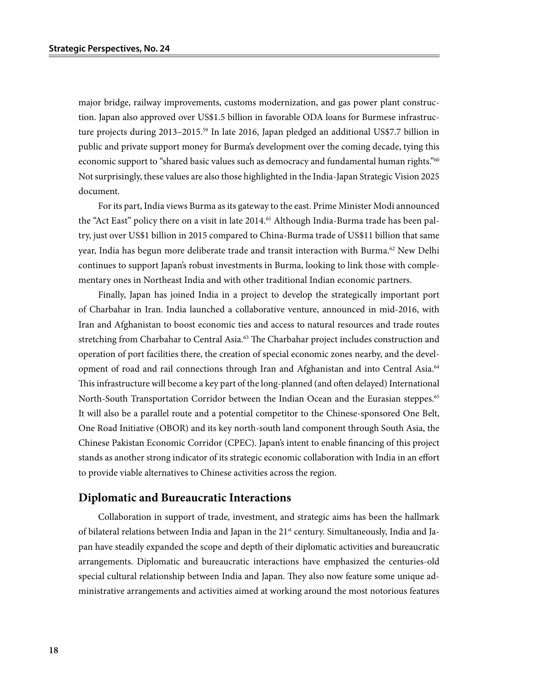major bridge, railway improvements, customs modernization, and gas power plant construction. Japan also approved over US\$1.5 billion in favorable ODA loans for Burmese infrastructure projects during 2013–2015.<sup>59</sup> In late 2016, Japan pledged an additional US\$7.7 billion in public and private support money for Burma's development over the coming decade, tying this economic support to "shared basic values such as democracy and fundamental human rights."<sup>60</sup> Not surprisingly, these values are also those highlighted in the India-Japan Strategic Vision 2025 document.

For its part, India views Burma as its gateway to the east. Prime Minister Modi announced the "Act East" policy there on a visit in late 2014.<sup>61</sup> Although India-Burma trade has been paltry, just over US\$1 billion in 2015 compared to China-Burma trade of US\$11 billion that same year, India has begun more deliberate trade and transit interaction with Burma.<sup>62</sup> New Delhi continues to support Japan's robust investments in Burma, looking to link those with complementary ones in Northeast India and with other traditional Indian economic partners.

Finally, Japan has joined India in a project to develop the strategically important port of Charbahar in Iran. India launched a collaborative venture, announced in mid-2016, with Iran and Afghanistan to boost economic ties and access to natural resources and trade routes stretching from Charbahar to Central Asia.<sup>63</sup> The Charbahar project includes construction and operation of port facilities there, the creation of special economic zones nearby, and the development of road and rail connections through Iran and Afghanistan and into Central Asia.<sup>64</sup> This infrastructure will become a key part of the long-planned (and often delayed) International North-South Transportation Corridor between the Indian Ocean and the Eurasian steppes.<sup>65</sup> It will also be a parallel route and a potential competitor to the Chinese-sponsored One Belt, One Road Initiative (OBOR) and its key north-south land component through South Asia, the Chinese Pakistan Economic Corridor (CPEC). Japan's intent to enable financing of this project stands as another strong indicator of its strategic economic collaboration with India in an effort to provide viable alternatives to Chinese activities across the region.

#### **Diplomatic and Bureaucratic Interactions**

Collaboration in support of trade, investment, and strategic aims has been the hallmark of bilateral relations between India and Japan in the 21<sup>st</sup> century. Simultaneously, India and Japan have steadily expanded the scope and depth of their diplomatic activities and bureaucratic arrangements. Diplomatic and bureaucratic interactions have emphasized the centuries-old special cultural relationship between India and Japan. They also now feature some unique administrative arrangements and activities aimed at working around the most notorious features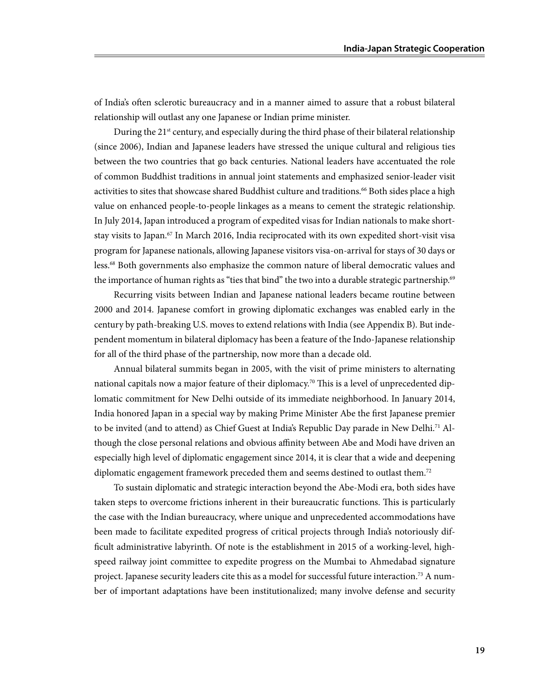of India's often sclerotic bureaucracy and in a manner aimed to assure that a robust bilateral relationship will outlast any one Japanese or Indian prime minister.

During the  $21<sup>st</sup>$  century, and especially during the third phase of their bilateral relationship (since 2006), Indian and Japanese leaders have stressed the unique cultural and religious ties between the two countries that go back centuries. National leaders have accentuated the role of common Buddhist traditions in annual joint statements and emphasized senior-leader visit activities to sites that showcase shared Buddhist culture and traditions.<sup>66</sup> Both sides place a high value on enhanced people-to-people linkages as a means to cement the strategic relationship. In July 2014, Japan introduced a program of expedited visas for Indian nationals to make shortstay visits to Japan.<sup>67</sup> In March 2016, India reciprocated with its own expedited short-visit visa program for Japanese nationals, allowing Japanese visitors visa-on-arrival for stays of 30 days or less.68 Both governments also emphasize the common nature of liberal democratic values and the importance of human rights as "ties that bind" the two into a durable strategic partnership.<sup>69</sup>

Recurring visits between Indian and Japanese national leaders became routine between 2000 and 2014. Japanese comfort in growing diplomatic exchanges was enabled early in the century by path-breaking U.S. moves to extend relations with India (see Appendix B). But independent momentum in bilateral diplomacy has been a feature of the Indo-Japanese relationship for all of the third phase of the partnership, now more than a decade old.

Annual bilateral summits began in 2005, with the visit of prime ministers to alternating national capitals now a major feature of their diplomacy.<sup>70</sup> This is a level of unprecedented diplomatic commitment for New Delhi outside of its immediate neighborhood. In January 2014, India honored Japan in a special way by making Prime Minister Abe the first Japanese premier to be invited (and to attend) as Chief Guest at India's Republic Day parade in New Delhi.<sup>71</sup> Although the close personal relations and obvious affinity between Abe and Modi have driven an especially high level of diplomatic engagement since 2014, it is clear that a wide and deepening diplomatic engagement framework preceded them and seems destined to outlast them.72

To sustain diplomatic and strategic interaction beyond the Abe-Modi era, both sides have taken steps to overcome frictions inherent in their bureaucratic functions. This is particularly the case with the Indian bureaucracy, where unique and unprecedented accommodations have been made to facilitate expedited progress of critical projects through India's notoriously difficult administrative labyrinth. Of note is the establishment in 2015 of a working-level, highspeed railway joint committee to expedite progress on the Mumbai to Ahmedabad signature project. Japanese security leaders cite this as a model for successful future interaction.<sup>73</sup> A number of important adaptations have been institutionalized; many involve defense and security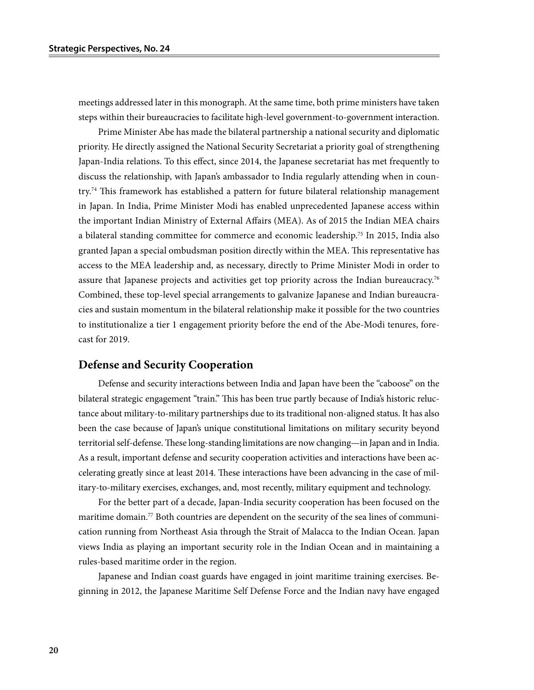meetings addressed later in this monograph. At the same time, both prime ministers have taken steps within their bureaucracies to facilitate high-level government-to-government interaction.

Prime Minister Abe has made the bilateral partnership a national security and diplomatic priority. He directly assigned the National Security Secretariat a priority goal of strengthening Japan-India relations. To this effect, since 2014, the Japanese secretariat has met frequently to discuss the relationship, with Japan's ambassador to India regularly attending when in country.<sup>74</sup> This framework has established a pattern for future bilateral relationship management in Japan. In India, Prime Minister Modi has enabled unprecedented Japanese access within the important Indian Ministry of External Affairs (MEA). As of 2015 the Indian MEA chairs a bilateral standing committee for commerce and economic leadership.75 In 2015, India also granted Japan a special ombudsman position directly within the MEA. This representative has access to the MEA leadership and, as necessary, directly to Prime Minister Modi in order to assure that Japanese projects and activities get top priority across the Indian bureaucracy.<sup>76</sup> Combined, these top-level special arrangements to galvanize Japanese and Indian bureaucracies and sustain momentum in the bilateral relationship make it possible for the two countries to institutionalize a tier 1 engagement priority before the end of the Abe-Modi tenures, forecast for 2019.

#### **Defense and Security Cooperation**

Defense and security interactions between India and Japan have been the "caboose" on the bilateral strategic engagement "train." This has been true partly because of India's historic reluctance about military-to-military partnerships due to its traditional non-aligned status. It has also been the case because of Japan's unique constitutional limitations on military security beyond territorial self-defense. These long-standing limitations are now changing—in Japan and in India. As a result, important defense and security cooperation activities and interactions have been accelerating greatly since at least 2014. These interactions have been advancing in the case of military-to-military exercises, exchanges, and, most recently, military equipment and technology.

For the better part of a decade, Japan-India security cooperation has been focused on the maritime domain.<sup>77</sup> Both countries are dependent on the security of the sea lines of communication running from Northeast Asia through the Strait of Malacca to the Indian Ocean. Japan views India as playing an important security role in the Indian Ocean and in maintaining a rules-based maritime order in the region.

Japanese and Indian coast guards have engaged in joint maritime training exercises. Beginning in 2012, the Japanese Maritime Self Defense Force and the Indian navy have engaged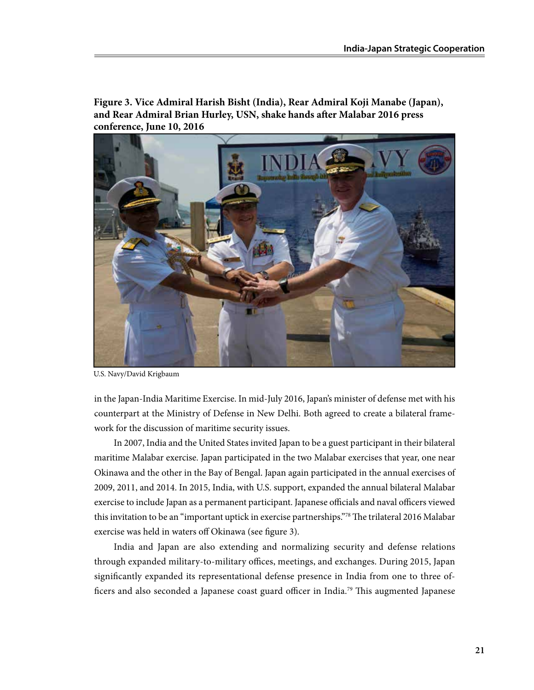**Figure 3. Vice Admiral Harish Bisht (India), Rear Admiral Koji Manabe (Japan), and Rear Admiral Brian Hurley, USN, shake hands after Malabar 2016 press conference, June 10, 2016**



U.S. Navy/David Krigbaum

in the Japan-India Maritime Exercise. In mid-July 2016, Japan's minister of defense met with his counterpart at the Ministry of Defense in New Delhi. Both agreed to create a bilateral framework for the discussion of maritime security issues.

In 2007, India and the United States invited Japan to be a guest participant in their bilateral maritime Malabar exercise. Japan participated in the two Malabar exercises that year, one near Okinawa and the other in the Bay of Bengal. Japan again participated in the annual exercises of 2009, 2011, and 2014. In 2015, India, with U.S. support, expanded the annual bilateral Malabar exercise to include Japan as a permanent participant. Japanese officials and naval officers viewed this invitation to be an "important uptick in exercise partnerships."78 The trilateral 2016 Malabar exercise was held in waters off Okinawa (see figure 3).

India and Japan are also extending and normalizing security and defense relations through expanded military-to-military offices, meetings, and exchanges. During 2015, Japan significantly expanded its representational defense presence in India from one to three officers and also seconded a Japanese coast guard officer in India.79 This augmented Japanese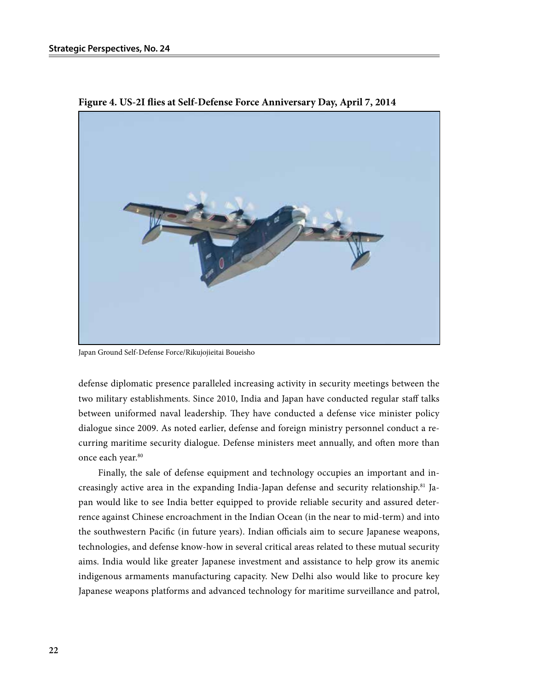

**Figure 4. US-2I flies at Self-Defense Force Anniversary Day, April 7, 2014**

Japan Ground Self-Defense Force/Rikujojieitai Boueisho

defense diplomatic presence paralleled increasing activity in security meetings between the two military establishments. Since 2010, India and Japan have conducted regular staff talks between uniformed naval leadership. They have conducted a defense vice minister policy dialogue since 2009. As noted earlier, defense and foreign ministry personnel conduct a recurring maritime security dialogue. Defense ministers meet annually, and often more than once each year.<sup>80</sup>

Finally, the sale of defense equipment and technology occupies an important and increasingly active area in the expanding India-Japan defense and security relationship.81 Japan would like to see India better equipped to provide reliable security and assured deterrence against Chinese encroachment in the Indian Ocean (in the near to mid-term) and into the southwestern Pacific (in future years). Indian officials aim to secure Japanese weapons, technologies, and defense know-how in several critical areas related to these mutual security aims. India would like greater Japanese investment and assistance to help grow its anemic indigenous armaments manufacturing capacity. New Delhi also would like to procure key Japanese weapons platforms and advanced technology for maritime surveillance and patrol,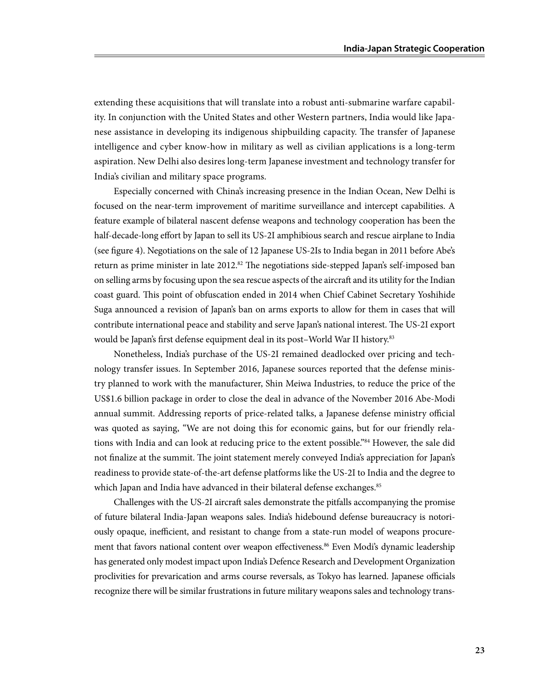extending these acquisitions that will translate into a robust anti-submarine warfare capability. In conjunction with the United States and other Western partners, India would like Japanese assistance in developing its indigenous shipbuilding capacity. The transfer of Japanese intelligence and cyber know-how in military as well as civilian applications is a long-term aspiration. New Delhi also desires long-term Japanese investment and technology transfer for India's civilian and military space programs.

Especially concerned with China's increasing presence in the Indian Ocean, New Delhi is focused on the near-term improvement of maritime surveillance and intercept capabilities. A feature example of bilateral nascent defense weapons and technology cooperation has been the half-decade-long effort by Japan to sell its US-2I amphibious search and rescue airplane to India (see figure 4). Negotiations on the sale of 12 Japanese US-2Is to India began in 2011 before Abe's return as prime minister in late 2012.<sup>82</sup> The negotiations side-stepped Japan's self-imposed ban on selling arms by focusing upon the sea rescue aspects of the aircraft and its utility for the Indian coast guard. This point of obfuscation ended in 2014 when Chief Cabinet Secretary Yoshihide Suga announced a revision of Japan's ban on arms exports to allow for them in cases that will contribute international peace and stability and serve Japan's national interest. The US-2I export would be Japan's first defense equipment deal in its post-World War II history.<sup>83</sup>

Nonetheless, India's purchase of the US-2I remained deadlocked over pricing and technology transfer issues. In September 2016, Japanese sources reported that the defense ministry planned to work with the manufacturer, Shin Meiwa Industries, to reduce the price of the US\$1.6 billion package in order to close the deal in advance of the November 2016 Abe-Modi annual summit. Addressing reports of price-related talks, a Japanese defense ministry official was quoted as saying, "We are not doing this for economic gains, but for our friendly relations with India and can look at reducing price to the extent possible."84 However, the sale did not finalize at the summit. The joint statement merely conveyed India's appreciation for Japan's readiness to provide state-of-the-art defense platforms like the US-2I to India and the degree to which Japan and India have advanced in their bilateral defense exchanges.<sup>85</sup>

Challenges with the US-2I aircraft sales demonstrate the pitfalls accompanying the promise of future bilateral India-Japan weapons sales. India's hidebound defense bureaucracy is notoriously opaque, inefficient, and resistant to change from a state-run model of weapons procurement that favors national content over weapon effectiveness.<sup>86</sup> Even Modi's dynamic leadership has generated only modest impact upon India's Defence Research and Development Organization proclivities for prevarication and arms course reversals, as Tokyo has learned. Japanese officials recognize there will be similar frustrations in future military weapons sales and technology trans-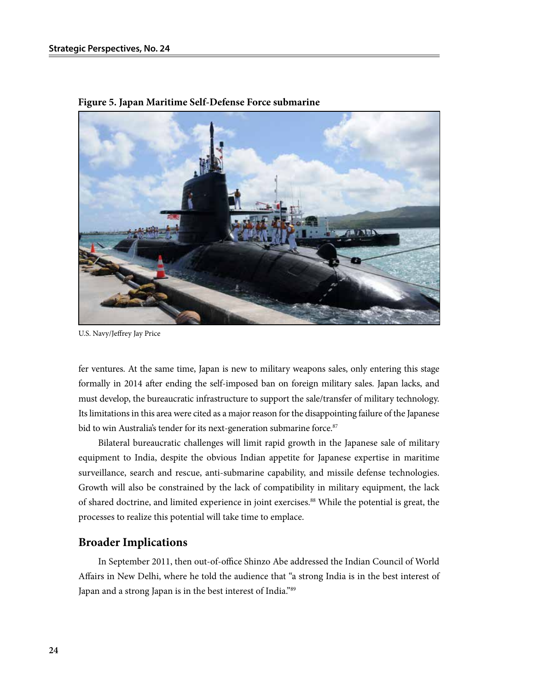

**Figure 5. Japan Maritime Self-Defense Force submarine**

U.S. Navy/Jeffrey Jay Price

fer ventures. At the same time, Japan is new to military weapons sales, only entering this stage formally in 2014 after ending the self-imposed ban on foreign military sales. Japan lacks, and must develop, the bureaucratic infrastructure to support the sale/transfer of military technology. Its limitations in this area were cited as a major reason for the disappointing failure of the Japanese bid to win Australia's tender for its next-generation submarine force.<sup>87</sup>

Bilateral bureaucratic challenges will limit rapid growth in the Japanese sale of military equipment to India, despite the obvious Indian appetite for Japanese expertise in maritime surveillance, search and rescue, anti-submarine capability, and missile defense technologies. Growth will also be constrained by the lack of compatibility in military equipment, the lack of shared doctrine, and limited experience in joint exercises.<sup>88</sup> While the potential is great, the processes to realize this potential will take time to emplace.

#### **Broader Implications**

In September 2011, then out-of-office Shinzo Abe addressed the Indian Council of World Affairs in New Delhi, where he told the audience that "a strong India is in the best interest of Japan and a strong Japan is in the best interest of India."89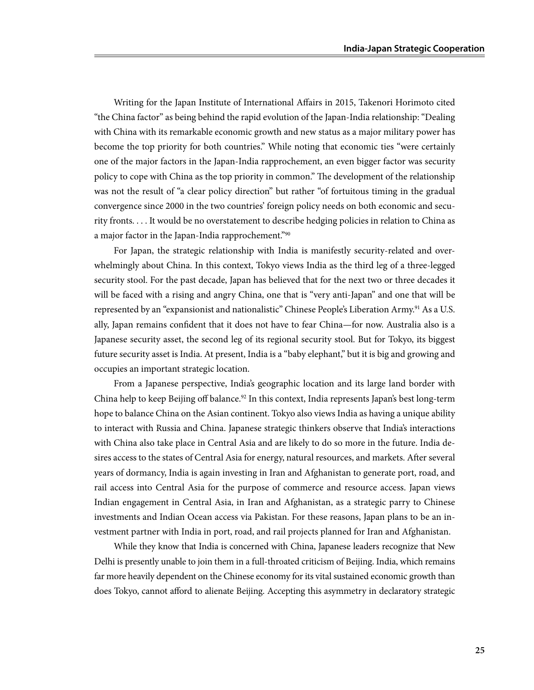Writing for the Japan Institute of International Affairs in 2015, Takenori Horimoto cited "the China factor" as being behind the rapid evolution of the Japan-India relationship: "Dealing with China with its remarkable economic growth and new status as a major military power has become the top priority for both countries." While noting that economic ties "were certainly one of the major factors in the Japan-India rapprochement, an even bigger factor was security policy to cope with China as the top priority in common." The development of the relationship was not the result of "a clear policy direction" but rather "of fortuitous timing in the gradual convergence since 2000 in the two countries' foreign policy needs on both economic and security fronts. . . . It would be no overstatement to describe hedging policies in relation to China as a major factor in the Japan-India rapprochement."90

For Japan, the strategic relationship with India is manifestly security-related and overwhelmingly about China. In this context, Tokyo views India as the third leg of a three-legged security stool. For the past decade, Japan has believed that for the next two or three decades it will be faced with a rising and angry China, one that is "very anti-Japan" and one that will be represented by an "expansionist and nationalistic" Chinese People's Liberation Army.<sup>91</sup> As a U.S. ally, Japan remains confident that it does not have to fear China—for now. Australia also is a Japanese security asset, the second leg of its regional security stool. But for Tokyo, its biggest future security asset is India. At present, India is a "baby elephant," but it is big and growing and occupies an important strategic location.

From a Japanese perspective, India's geographic location and its large land border with China help to keep Beijing off balance.<sup>92</sup> In this context, India represents Japan's best long-term hope to balance China on the Asian continent. Tokyo also views India as having a unique ability to interact with Russia and China. Japanese strategic thinkers observe that India's interactions with China also take place in Central Asia and are likely to do so more in the future. India desires access to the states of Central Asia for energy, natural resources, and markets. After several years of dormancy, India is again investing in Iran and Afghanistan to generate port, road, and rail access into Central Asia for the purpose of commerce and resource access. Japan views Indian engagement in Central Asia, in Iran and Afghanistan, as a strategic parry to Chinese investments and Indian Ocean access via Pakistan. For these reasons, Japan plans to be an investment partner with India in port, road, and rail projects planned for Iran and Afghanistan.

While they know that India is concerned with China, Japanese leaders recognize that New Delhi is presently unable to join them in a full-throated criticism of Beijing. India, which remains far more heavily dependent on the Chinese economy for its vital sustained economic growth than does Tokyo, cannot afford to alienate Beijing. Accepting this asymmetry in declaratory strategic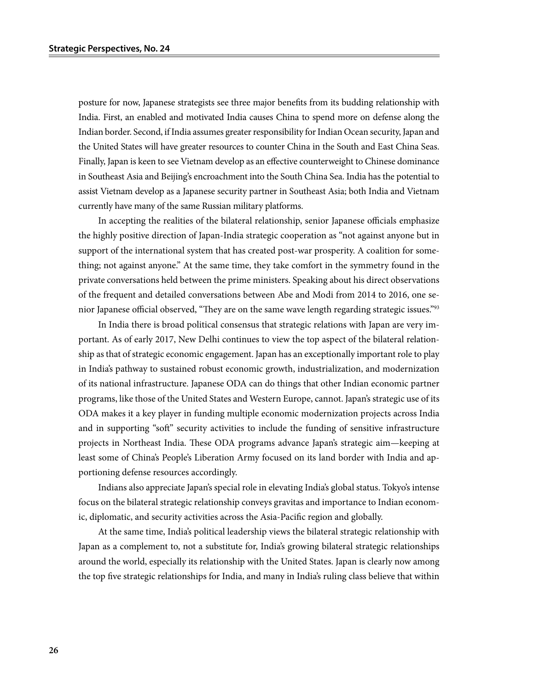posture for now, Japanese strategists see three major benefits from its budding relationship with India. First, an enabled and motivated India causes China to spend more on defense along the Indian border. Second, if India assumes greater responsibility for Indian Ocean security, Japan and the United States will have greater resources to counter China in the South and East China Seas. Finally, Japan is keen to see Vietnam develop as an effective counterweight to Chinese dominance in Southeast Asia and Beijing's encroachment into the South China Sea. India has the potential to assist Vietnam develop as a Japanese security partner in Southeast Asia; both India and Vietnam currently have many of the same Russian military platforms.

In accepting the realities of the bilateral relationship, senior Japanese officials emphasize the highly positive direction of Japan-India strategic cooperation as "not against anyone but in support of the international system that has created post-war prosperity. A coalition for something; not against anyone." At the same time, they take comfort in the symmetry found in the private conversations held between the prime ministers. Speaking about his direct observations of the frequent and detailed conversations between Abe and Modi from 2014 to 2016, one senior Japanese official observed, "They are on the same wave length regarding strategic issues."93

In India there is broad political consensus that strategic relations with Japan are very important. As of early 2017, New Delhi continues to view the top aspect of the bilateral relationship as that of strategic economic engagement. Japan has an exceptionally important role to play in India's pathway to sustained robust economic growth, industrialization, and modernization of its national infrastructure. Japanese ODA can do things that other Indian economic partner programs, like those of the United States and Western Europe, cannot. Japan's strategic use of its ODA makes it a key player in funding multiple economic modernization projects across India and in supporting "soft" security activities to include the funding of sensitive infrastructure projects in Northeast India. These ODA programs advance Japan's strategic aim—keeping at least some of China's People's Liberation Army focused on its land border with India and apportioning defense resources accordingly.

Indians also appreciate Japan's special role in elevating India's global status. Tokyo's intense focus on the bilateral strategic relationship conveys gravitas and importance to Indian economic, diplomatic, and security activities across the Asia-Pacific region and globally.

At the same time, India's political leadership views the bilateral strategic relationship with Japan as a complement to, not a substitute for, India's growing bilateral strategic relationships around the world, especially its relationship with the United States. Japan is clearly now among the top five strategic relationships for India, and many in India's ruling class believe that within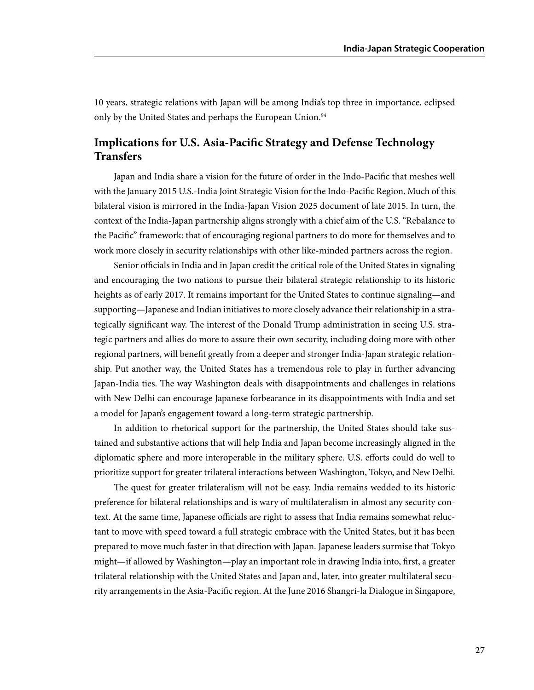10 years, strategic relations with Japan will be among India's top three in importance, eclipsed only by the United States and perhaps the European Union.<sup>94</sup>

### **Implications for U.S. Asia-Pacific Strategy and Defense Technology Transfers**

Japan and India share a vision for the future of order in the Indo-Pacific that meshes well with the January 2015 U.S.-India Joint Strategic Vision for the Indo-Pacific Region. Much of this bilateral vision is mirrored in the India-Japan Vision 2025 document of late 2015. In turn, the context of the India-Japan partnership aligns strongly with a chief aim of the U.S. "Rebalance to the Pacific" framework: that of encouraging regional partners to do more for themselves and to work more closely in security relationships with other like-minded partners across the region.

Senior officials in India and in Japan credit the critical role of the United States in signaling and encouraging the two nations to pursue their bilateral strategic relationship to its historic heights as of early 2017. It remains important for the United States to continue signaling—and supporting—Japanese and Indian initiatives to more closely advance their relationship in a strategically significant way. The interest of the Donald Trump administration in seeing U.S. strategic partners and allies do more to assure their own security, including doing more with other regional partners, will benefit greatly from a deeper and stronger India-Japan strategic relationship. Put another way, the United States has a tremendous role to play in further advancing Japan-India ties. The way Washington deals with disappointments and challenges in relations with New Delhi can encourage Japanese forbearance in its disappointments with India and set a model for Japan's engagement toward a long-term strategic partnership.

In addition to rhetorical support for the partnership, the United States should take sustained and substantive actions that will help India and Japan become increasingly aligned in the diplomatic sphere and more interoperable in the military sphere. U.S. efforts could do well to prioritize support for greater trilateral interactions between Washington, Tokyo, and New Delhi.

The quest for greater trilateralism will not be easy. India remains wedded to its historic preference for bilateral relationships and is wary of multilateralism in almost any security context. At the same time, Japanese officials are right to assess that India remains somewhat reluctant to move with speed toward a full strategic embrace with the United States, but it has been prepared to move much faster in that direction with Japan. Japanese leaders surmise that Tokyo might—if allowed by Washington—play an important role in drawing India into, first, a greater trilateral relationship with the United States and Japan and, later, into greater multilateral security arrangements in the Asia-Pacific region. At the June 2016 Shangri-la Dialogue in Singapore,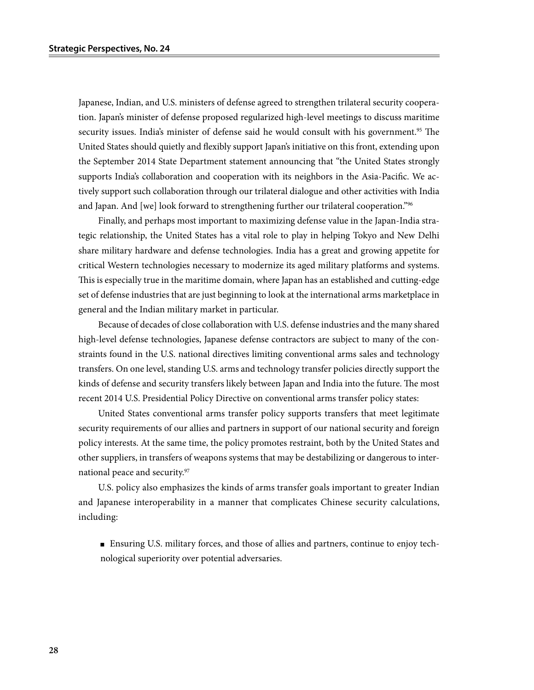Japanese, Indian, and U.S. ministers of defense agreed to strengthen trilateral security cooperation. Japan's minister of defense proposed regularized high-level meetings to discuss maritime security issues. India's minister of defense said he would consult with his government.<sup>95</sup> The United States should quietly and flexibly support Japan's initiative on this front, extending upon the September 2014 State Department statement announcing that "the United States strongly supports India's collaboration and cooperation with its neighbors in the Asia-Pacific. We actively support such collaboration through our trilateral dialogue and other activities with India and Japan. And [we] look forward to strengthening further our trilateral cooperation."<sup>96</sup>

Finally, and perhaps most important to maximizing defense value in the Japan-India strategic relationship, the United States has a vital role to play in helping Tokyo and New Delhi share military hardware and defense technologies. India has a great and growing appetite for critical Western technologies necessary to modernize its aged military platforms and systems. This is especially true in the maritime domain, where Japan has an established and cutting-edge set of defense industries that are just beginning to look at the international arms marketplace in general and the Indian military market in particular.

Because of decades of close collaboration with U.S. defense industries and the many shared high-level defense technologies, Japanese defense contractors are subject to many of the constraints found in the U.S. national directives limiting conventional arms sales and technology transfers. On one level, standing U.S. arms and technology transfer policies directly support the kinds of defense and security transfers likely between Japan and India into the future. The most recent 2014 U.S. Presidential Policy Directive on conventional arms transfer policy states:

United States conventional arms transfer policy supports transfers that meet legitimate security requirements of our allies and partners in support of our national security and foreign policy interests. At the same time, the policy promotes restraint, both by the United States and other suppliers, in transfers of weapons systems that may be destabilizing or dangerous to international peace and security.97

U.S. policy also emphasizes the kinds of arms transfer goals important to greater Indian and Japanese interoperability in a manner that complicates Chinese security calculations, including:

■ Ensuring U.S. military forces, and those of allies and partners, continue to enjoy technological superiority over potential adversaries.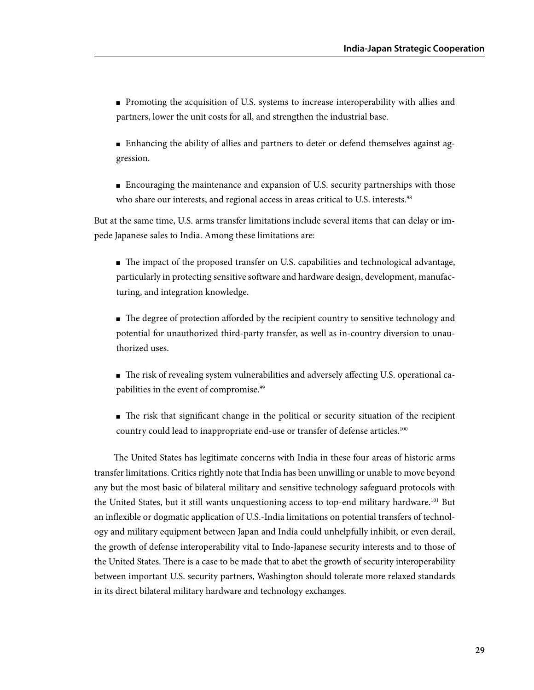- Promoting the acquisition of U.S. systems to increase interoperability with allies and partners, lower the unit costs for all, and strengthen the industrial base.
- Enhancing the ability of allies and partners to deter or defend themselves against aggression.
- Encouraging the maintenance and expansion of U.S. security partnerships with those who share our interests, and regional access in areas critical to U.S. interests.<sup>98</sup>

But at the same time, U.S. arms transfer limitations include several items that can delay or impede Japanese sales to India. Among these limitations are:

- The impact of the proposed transfer on U.S. capabilities and technological advantage, particularly in protecting sensitive software and hardware design, development, manufacturing, and integration knowledge.
- The degree of protection afforded by the recipient country to sensitive technology and potential for unauthorized third-party transfer, as well as in-country diversion to unauthorized uses.
- The risk of revealing system vulnerabilities and adversely affecting U.S. operational capabilities in the event of compromise.<sup>99</sup>
- The risk that significant change in the political or security situation of the recipient country could lead to inappropriate end-use or transfer of defense articles.<sup>100</sup>

The United States has legitimate concerns with India in these four areas of historic arms transfer limitations. Critics rightly note that India has been unwilling or unable to move beyond any but the most basic of bilateral military and sensitive technology safeguard protocols with the United States, but it still wants unquestioning access to top-end military hardware.<sup>101</sup> But an inflexible or dogmatic application of U.S.-India limitations on potential transfers of technology and military equipment between Japan and India could unhelpfully inhibit, or even derail, the growth of defense interoperability vital to Indo-Japanese security interests and to those of the United States. There is a case to be made that to abet the growth of security interoperability between important U.S. security partners, Washington should tolerate more relaxed standards in its direct bilateral military hardware and technology exchanges.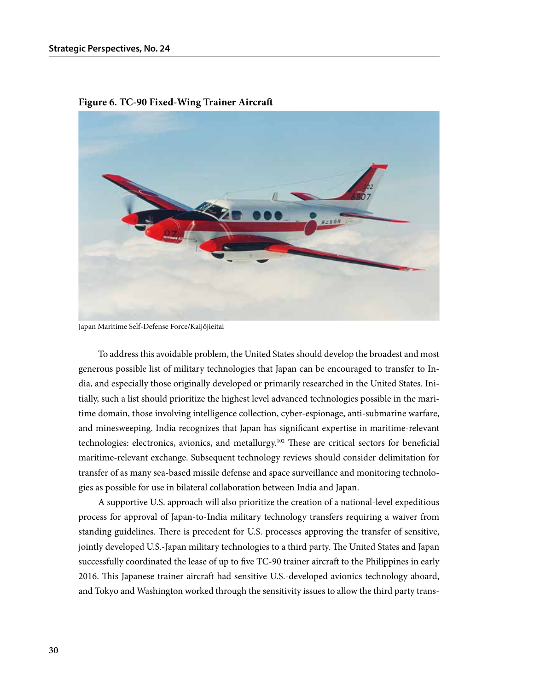

**Figure 6. TC-90 Fixed-Wing Trainer Aircraft**

Japan Maritime Self-Defense Force/Kaijōjieitai

To address this avoidable problem, the United States should develop the broadest and most generous possible list of military technologies that Japan can be encouraged to transfer to India, and especially those originally developed or primarily researched in the United States. Initially, such a list should prioritize the highest level advanced technologies possible in the maritime domain, those involving intelligence collection, cyber-espionage, anti-submarine warfare, and minesweeping. India recognizes that Japan has significant expertise in maritime-relevant technologies: electronics, avionics, and metallurgy.102 These are critical sectors for beneficial maritime-relevant exchange. Subsequent technology reviews should consider delimitation for transfer of as many sea-based missile defense and space surveillance and monitoring technologies as possible for use in bilateral collaboration between India and Japan.

A supportive U.S. approach will also prioritize the creation of a national-level expeditious process for approval of Japan-to-India military technology transfers requiring a waiver from standing guidelines. There is precedent for U.S. processes approving the transfer of sensitive, jointly developed U.S.-Japan military technologies to a third party. The United States and Japan successfully coordinated the lease of up to five TC-90 trainer aircraft to the Philippines in early 2016. This Japanese trainer aircraft had sensitive U.S.-developed avionics technology aboard, and Tokyo and Washington worked through the sensitivity issues to allow the third party trans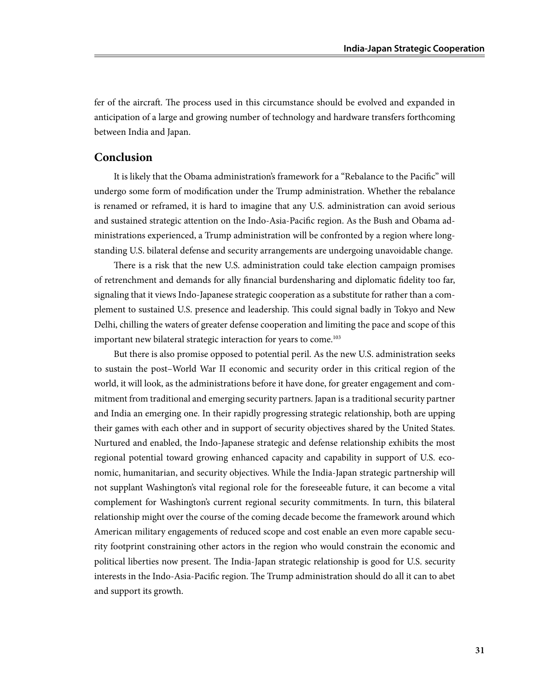fer of the aircraft. The process used in this circumstance should be evolved and expanded in anticipation of a large and growing number of technology and hardware transfers forthcoming between India and Japan.

#### **Conclusion**

It is likely that the Obama administration's framework for a "Rebalance to the Pacific" will undergo some form of modification under the Trump administration. Whether the rebalance is renamed or reframed, it is hard to imagine that any U.S. administration can avoid serious and sustained strategic attention on the Indo-Asia-Pacific region. As the Bush and Obama administrations experienced, a Trump administration will be confronted by a region where longstanding U.S. bilateral defense and security arrangements are undergoing unavoidable change.

There is a risk that the new U.S. administration could take election campaign promises of retrenchment and demands for ally financial burdensharing and diplomatic fidelity too far, signaling that it views Indo-Japanese strategic cooperation as a substitute for rather than a complement to sustained U.S. presence and leadership. This could signal badly in Tokyo and New Delhi, chilling the waters of greater defense cooperation and limiting the pace and scope of this important new bilateral strategic interaction for years to come.<sup>103</sup>

But there is also promise opposed to potential peril. As the new U.S. administration seeks to sustain the post–World War II economic and security order in this critical region of the world, it will look, as the administrations before it have done, for greater engagement and commitment from traditional and emerging security partners. Japan is a traditional security partner and India an emerging one. In their rapidly progressing strategic relationship, both are upping their games with each other and in support of security objectives shared by the United States. Nurtured and enabled, the Indo-Japanese strategic and defense relationship exhibits the most regional potential toward growing enhanced capacity and capability in support of U.S. economic, humanitarian, and security objectives. While the India-Japan strategic partnership will not supplant Washington's vital regional role for the foreseeable future, it can become a vital complement for Washington's current regional security commitments. In turn, this bilateral relationship might over the course of the coming decade become the framework around which American military engagements of reduced scope and cost enable an even more capable security footprint constraining other actors in the region who would constrain the economic and political liberties now present. The India-Japan strategic relationship is good for U.S. security interests in the Indo-Asia-Pacific region. The Trump administration should do all it can to abet and support its growth.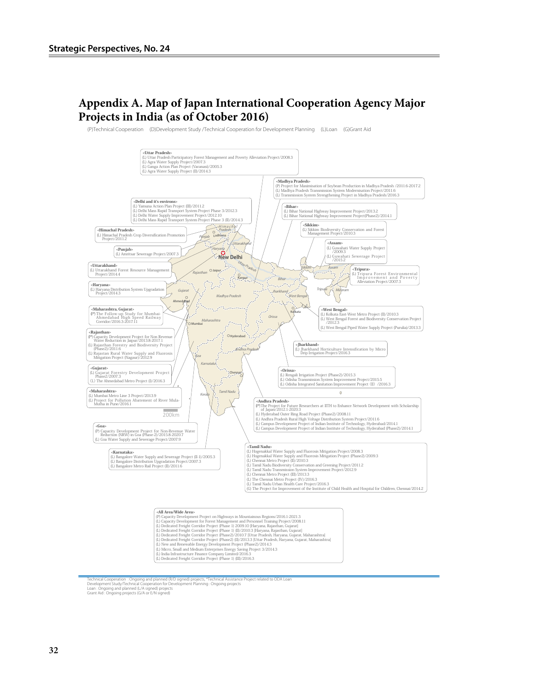## **Appendix A. Map of Japan International Cooperation Agency Major Projects in India (as of October 2016)**

(P)Technical Cooperation (D)Development Study /Technical Cooperation for Development Planning (L)Loan (G)Grant Aid



- 
- 
- 

Technical Cooperation : Ongoing and planned (RI/D signed) projects, \*Technical Assistance Project related to ODA Loan<br>Development Study/Technical Cooperation for Development Planning : Ongoing projects<br>Loran: Aid : Ongoing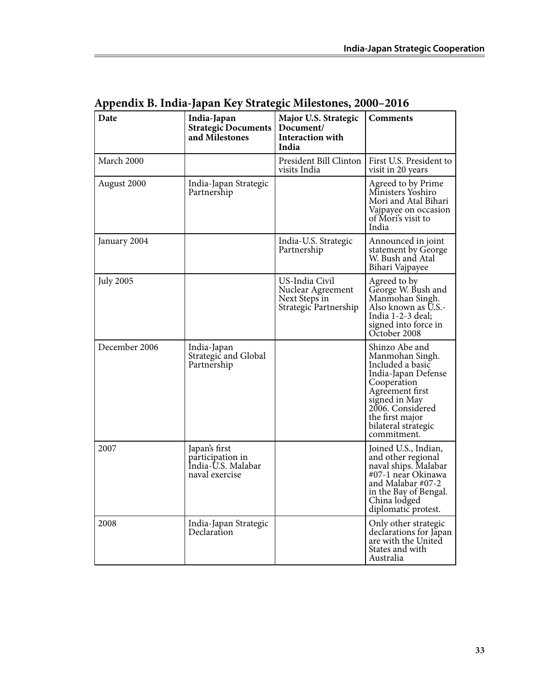| Date             | India-Japan<br><b>Strategic Documents</b><br>and Milestones               | Major U.S. Strategic<br>Document/<br>Interaction with<br>India                | <b>Comments</b>                                                                                                                                                                                              |
|------------------|---------------------------------------------------------------------------|-------------------------------------------------------------------------------|--------------------------------------------------------------------------------------------------------------------------------------------------------------------------------------------------------------|
| March 2000       |                                                                           | President Bill Clinton<br>visits India                                        | First U.S. President to<br>visit in 20 years                                                                                                                                                                 |
| August 2000      | India-Japan Strategic<br>Partnership                                      |                                                                               | Agreed to by Prime<br>Ministers Yoshiro<br>Mori and Atal Bihari<br>Vajpayee on occasion<br>of Mori's visit to<br>India                                                                                       |
| January 2004     |                                                                           | India-U.S. Strategic<br>Partnership                                           | Announced in joint<br>statement by George<br>W. Bush and Atal<br>Bihari Vajpayee                                                                                                                             |
| <b>July 2005</b> |                                                                           | US-India Civil<br>Nuclear Agreement<br>Next Steps in<br>Strategic Partnership | Agreed to by<br>George W. Bush and<br>Manmohan Singh.<br>Also known as U.S.-<br>India 1-2-3 deal;<br>signed into force in<br>October 2008                                                                    |
| December 2006    | India-Japan<br>Strategic and Global<br>Partnership                        |                                                                               | Shinzo Abe and<br>Manmohan Singh.<br>Included a basic<br>India-Japan Defense<br>Cooperation<br>Agreement first<br>signed in May<br>2006. Considered<br>the first major<br>bilateral strategic<br>commitment. |
| 2007             | Japan's first<br>participation in<br>India-U.S. Malabar<br>naval exercise |                                                                               | Joined U.S., Indian,<br>and other regional<br>naval ships. Malabar<br>#07-1 near Okinawa<br>and Malabar #07-2<br>in the Bay of Bengal.<br>China lodged<br>diplomatic protest.                                |
| 2008             | India-Japan Strategic<br>Declaration                                      |                                                                               | Only other strategic<br>declarations for Japan<br>are with the United<br>States and with<br>Australia                                                                                                        |

**Appendix B. India-Japan Key Strategic Milestones, 2000–2016**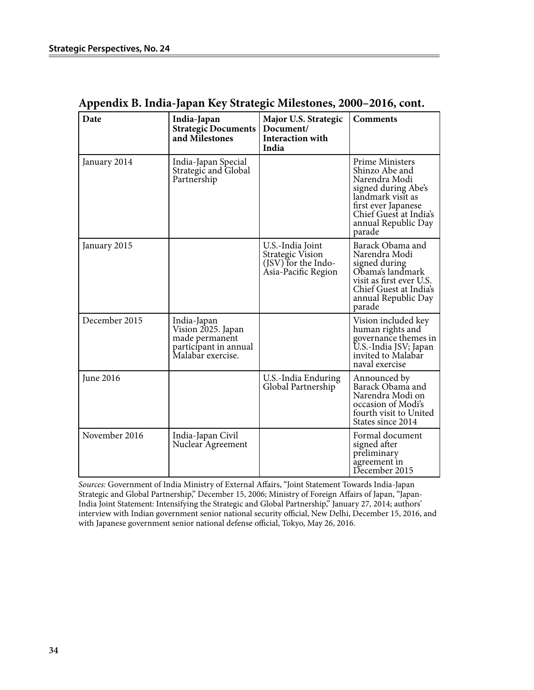| Date          | India-Japan<br><b>Strategic Documents</b><br>and Milestones                                       | Major U.S. Strategic<br>Document/<br><b>Interaction with</b><br>India              | <b>Comments</b>                                                                                                                                                                  |
|---------------|---------------------------------------------------------------------------------------------------|------------------------------------------------------------------------------------|----------------------------------------------------------------------------------------------------------------------------------------------------------------------------------|
| January 2014  | India-Japan Special<br>Strategic and Global<br>Partnership                                        |                                                                                    | Prime Ministers<br>Shinzo Abe and<br>Narendra Modi<br>signed during Abe's<br>landmark visit as<br>first ever Japanese<br>Chief Guest at India's<br>annual Republic Day<br>parade |
| January 2015  |                                                                                                   | U.S.-India Joint<br>Strategic Vision<br>(JSV) for the Indo-<br>Asia-Pacific Region | Barack Obama and<br>Narendra Modi<br>signed during<br>Obama's landmark<br>visit as first ever U.S.<br>Chief Guest at India's<br>annual Republic Day<br>parade                    |
| December 2015 | India-Japan<br>Vision 2025. Japan<br>made permanent<br>participant in annual<br>Malabar exercise. |                                                                                    | Vision included key<br>human rights and<br>governance themes in<br>U.S.-India JSV; Japan<br>invited to Malabar<br>naval exercise                                                 |
| June 2016     |                                                                                                   | U.S.-India Enduring<br>Global Partnership                                          | Announced by<br>Barack Obama and<br>Narendra Modi on<br>occasion of Modi's<br>fourth visit to United<br>States since 2014                                                        |
| November 2016 | India-Japan Civil<br>Nuclear Agreement                                                            |                                                                                    | Formal document<br>signed after<br>preliminary<br>agreement in<br>December 2015                                                                                                  |

### **Appendix B. India-Japan Key Strategic Milestones, 2000–2016, cont.**

*Sources:* Government of India Ministry of External Affairs, "Joint Statement Towards India-Japan Strategic and Global Partnership," December 15, 2006; Ministry of Foreign Affairs of Japan, "Japan-India Joint Statement: Intensifying the Strategic and Global Partnership," January 27, 2014; authors' interview with Indian government senior national security official, New Delhi, December 15, 2016, and with Japanese government senior national defense official, Tokyo, May 26, 2016.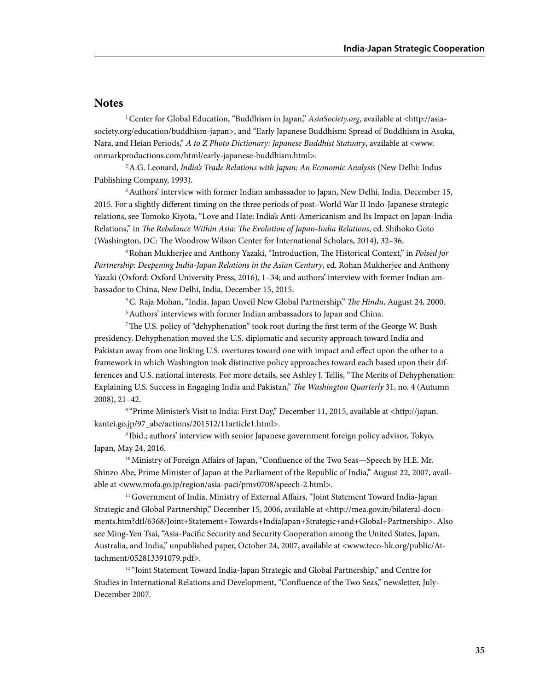#### **Notes**

<sup>1</sup> Center for Global Education, "Buddhism in Japan," *AsiaSociety.org*, available at <http://asiasociety.org/education/buddhism-japan>, and "Early Japanese Buddhism: Spread of Buddhism in Asuka, Nara, and Heian Periods," *A to Z Photo Dictionary: Japanese Buddhist Statuary*, available at <www. onmarkproductions.com/html/early-japanese-buddhism.html>.

2 A.G. Leonard, *India's Trade Relations with Japan: An Economic Analysis* (New Delhi: Indus Publishing Company, 1993).

<sup>3</sup> Authors' interview with former Indian ambassador to Japan, New Delhi, India, December 15, 2015. For a slightly different timing on the three periods of post–World War II Indo-Japanese strategic relations, see Tomoko Kiyota, "Love and Hate: India's Anti-Americanism and Its Impact on Japan-India Relations," in *The Rebalance Within Asia: The Evolution of Japan-India Relations*, ed. Shihoko Goto (Washington, DC: The Woodrow Wilson Center for International Scholars, 2014), 32–36.

4 Rohan Mukherjee and Anthony Yazaki, "Introduction, The Historical Context," in *Poised for Partnership: Deepening India-Japan Relations in the Asian Century*, ed. Rohan Mukherjee and Anthony Yazaki (Oxford: Oxford University Press, 2016), 1–34; and authors' interview with former Indian ambassador to China, New Delhi, India, December 15, 2015.

5 C. Raja Mohan, "India, Japan Unveil New Global Partnership," *The Hindu*, August 24, 2000.

<sup>6</sup> Authors' interviews with former Indian ambassadors to Japan and China.

7 The U.S. policy of "dehyphenation" took root during the first term of the George W. Bush presidency. Dehyphenation moved the U.S. diplomatic and security approach toward India and Pakistan away from one linking U.S. overtures toward one with impact and effect upon the other to a framework in which Washington took distinctive policy approaches toward each based upon their differences and U.S. national interests. For more details, see Ashley J. Tellis, "The Merits of Dehyphenation: Explaining U.S. Success in Engaging India and Pakistan," *The Washington Quarterly* 31, no. 4 (Autumn 2008), 21–42.

8 "Prime Minister's Visit to India: First Day," December 11, 2015, available at <http://japan. kantei.go.jp/97\_abe/actions/201512/11article1.html>.

9 Ibid.; authors' interview with senior Japanese government foreign policy advisor, Tokyo, Japan, May 24, 2016.

<sup>10</sup> Ministry of Foreign Affairs of Japan, "Confluence of the Two Seas-Speech by H.E. Mr. Shinzo Abe, Prime Minister of Japan at the Parliament of the Republic of India," August 22, 2007, available at <www.mofa.go.jp/region/asia-paci/pmv0708/speech-2.html>.

<sup>11</sup> Government of India, Ministry of External Affairs, "Joint Statement Toward India-Japan Strategic and Global Partnership," December 15, 2006, available at <http://mea.gov.in/bilateral-documents.htm?dtl/6368/Joint+Statement+Towards+IndiaJapan+Strategic+and+Global+Partnership>. Also see Ming-Yen Tsai, "Asia-Pacific Security and Security Cooperation among the United States, Japan, Australia, and India," unpublished paper, October 24, 2007, available at <www.teco-hk.org/public/Attachment/052813391079.pdf>.

<sup>12 "</sup>Joint Statement Toward India-Japan Strategic and Global Partnership," and Centre for Studies in International Relations and Development, "Confluence of the Two Seas," newsletter, July-December 2007.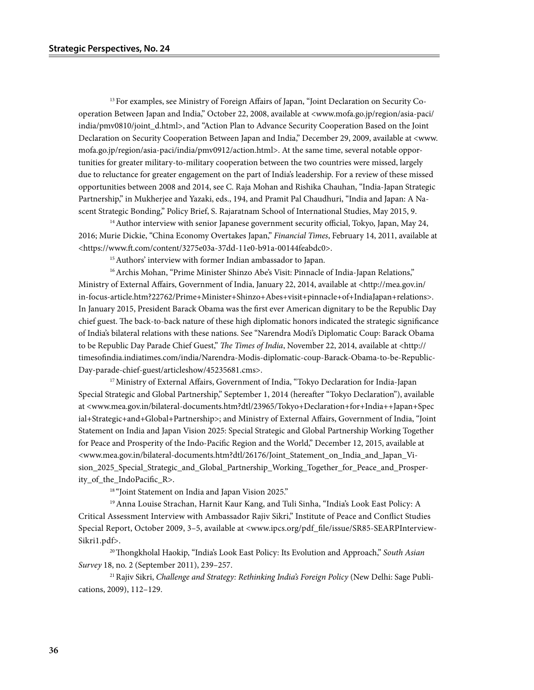13 For examples, see Ministry of Foreign Affairs of Japan, "Joint Declaration on Security Cooperation Between Japan and India," October 22, 2008, available at <www.mofa.go.jp/region/asia-paci/ india/pmv0810/joint\_d.html>, and "Action Plan to Advance Security Cooperation Based on the Joint Declaration on Security Cooperation Between Japan and India," December 29, 2009, available at <www. mofa.go.jp/region/asia-paci/india/pmv0912/action.html>. At the same time, several notable opportunities for greater military-to-military cooperation between the two countries were missed, largely due to reluctance for greater engagement on the part of India's leadership. For a review of these missed opportunities between 2008 and 2014, see C. Raja Mohan and Rishika Chauhan, "India-Japan Strategic Partnership," in Mukherjee and Yazaki, eds., 194, and Pramit Pal Chaudhuri, "India and Japan: A Nascent Strategic Bonding," Policy Brief, S. Rajaratnam School of International Studies, May 2015, 9.

 $14$  Author interview with senior Japanese government security official, Tokyo, Japan, May 24, 2016; Murie Dickie, "China Economy Overtakes Japan," *Financial Times*, February 14, 2011, available at <https://www.ft.com/content/3275e03a-37dd-11e0-b91a-00144feabdc0>.

<sup>15</sup> Authors' interview with former Indian ambassador to Japan.

<sup>16</sup> Archis Mohan, "Prime Minister Shinzo Abe's Visit: Pinnacle of India-Japan Relations," Ministry of External Affairs, Government of India, January 22, 2014, available at <http://mea.gov.in/ in-focus-article.htm?22762/Prime+Minister+Shinzo+Abes+visit+pinnacle+of+IndiaJapan+relations>. In January 2015, President Barack Obama was the first ever American dignitary to be the Republic Day chief guest. The back-to-back nature of these high diplomatic honors indicated the strategic significance of India's bilateral relations with these nations. See "Narendra Modi's Diplomatic Coup: Barack Obama to be Republic Day Parade Chief Guest," *The Times of India*, November 22, 2014, available at <http:// timesofindia.indiatimes.com/india/Narendra-Modis-diplomatic-coup-Barack-Obama-to-be-Republic-Day-parade-chief-guest/articleshow/45235681.cms>.

<sup>17</sup> Ministry of External Affairs, Government of India, "Tokyo Declaration for India-Japan Special Strategic and Global Partnership," September 1, 2014 (hereafter "Tokyo Declaration"), available at <www.mea.gov.in/bilateral-documents.htm?dtl/23965/Tokyo+Declaration+for+India++Japan+Spec ial+Strategic+and+Global+Partnership>; and Ministry of External Affairs, Government of India, "Joint Statement on India and Japan Vision 2025: Special Strategic and Global Partnership Working Together for Peace and Prosperity of the Indo-Pacific Region and the World," December 12, 2015, available at <www.mea.gov.in/bilateral-documents.htm?dtl/26176/Joint\_Statement\_on\_India\_and\_Japan\_Vision\_2025\_Special\_Strategic\_and\_Global\_Partnership\_Working\_Together\_for\_Peace\_and\_Prosperity\_of\_the\_IndoPacific\_R>.

<sup>18</sup> "Joint Statement on India and Japan Vision 2025."

19 Anna Louise Strachan, Harnit Kaur Kang, and Tuli Sinha, "India's Look East Policy: A Critical Assessment Interview with Ambassador Rajiv Sikri," Institute of Peace and Conflict Studies Special Report, October 2009, 3-5, available at <www.ipcs.org/pdf file/issue/SR85-SEARPInterview-Sikri1.pdf>.

20 Thongkholal Haokip, "India's Look East Policy: Its Evolution and Approach," *South Asian Survey* 18, no. 2 (September 2011), 239–257.

21 Rajiv Sikri, *Challenge and Strategy: Rethinking India's Foreign Policy* (New Delhi: Sage Publications, 2009), 112–129.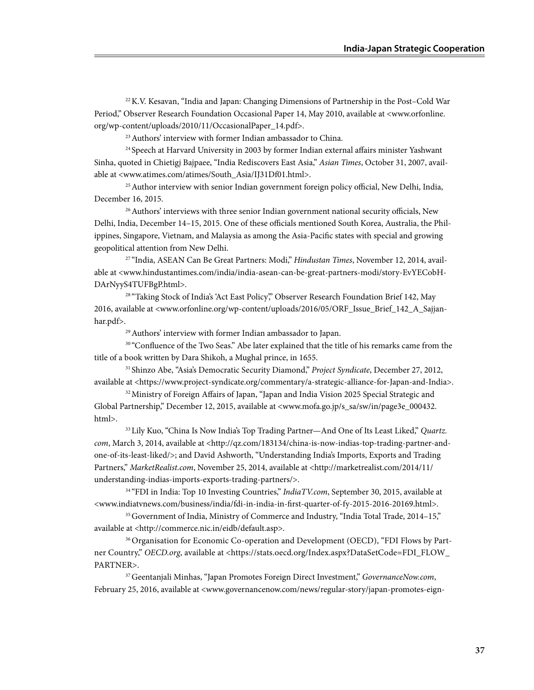22 K.V. Kesavan, "India and Japan: Changing Dimensions of Partnership in the Post–Cold War Period," Observer Research Foundation Occasional Paper 14, May 2010, available at <www.orfonline. org/wp-content/uploads/2010/11/OccasionalPaper\_14.pdf>.

23 Authors' interview with former Indian ambassador to China.

<sup>24</sup> Speech at Harvard University in 2003 by former Indian external affairs minister Yashwant Sinha, quoted in Chietigj Bajpaee, "India Rediscovers East Asia," *Asian Times*, October 31, 2007, available at <www.atimes.com/atimes/South\_Asia/IJ31Df01.html>.

<sup>25</sup> Author interview with senior Indian government foreign policy official, New Delhi, India, December 16, 2015.

<sup>26</sup> Authors' interviews with three senior Indian government national security officials, New Delhi, India, December 14–15, 2015. One of these officials mentioned South Korea, Australia, the Philippines, Singapore, Vietnam, and Malaysia as among the Asia-Pacific states with special and growing geopolitical attention from New Delhi.

27 "India, ASEAN Can Be Great Partners: Modi," *Hindustan Times*, November 12, 2014, available at <www.hindustantimes.com/india/india-asean-can-be-great-partners-modi/story-EvYECobH-DArNyyS4TUFBgP.html>.

<sup>28</sup> "Taking Stock of India's 'Act East Policy," Observer Research Foundation Brief 142, May 2016, available at <www.orfonline.org/wp-content/uploads/2016/05/ORF\_Issue\_Brief\_142\_A\_Sajjanhar.pdf>.

29 Authors' interview with former Indian ambassador to Japan.

<sup>30</sup> "Confluence of the Two Seas." Abe later explained that the title of his remarks came from the title of a book written by Dara Shikoh, a Mughal prince, in 1655.

31 Shinzo Abe, "Asia's Democratic Security Diamond," *Project Syndicate*, December 27, 2012, available at <https://www.project-syndicate.org/commentary/a-strategic-alliance-for-Japan-and-India>.

32 Ministry of Foreign Affairs of Japan, "Japan and India Vision 2025 Special Strategic and Global Partnership," December 12, 2015, available at <www.mofa.go.jp/s\_sa/sw/in/page3e\_000432. html>.

33Lily Kuo, "China Is Now India's Top Trading Partner—And One of Its Least Liked," *Quartz. com*, March 3, 2014, available at <http://qz.com/183134/china-is-now-indias-top-trading-partner-andone-of-its-least-liked/>; and David Ashworth, "Understanding India's Imports, Exports and Trading Partners," *MarketRealist.com*, November 25, 2014, available at <http://marketrealist.com/2014/11/ understanding-indias-imports-exports-trading-partners/>.

<sup>34</sup> "FDI in India: Top 10 Investing Countries," *IndiaTV.com*, September 30, 2015, available at <www.indiatvnews.com/business/india/fdi-in-india-in-first-quarter-of-fy-2015-2016-20169.html>.

<sup>35</sup> Government of India, Ministry of Commerce and Industry, "India Total Trade, 2014–15," available at <http://commerce.nic.in/eidb/default.asp>.

36 Organisation for Economic Co-operation and Development (OECD), "FDI Flows by Partner Country," *OECD.org*, available at <https://stats.oecd.org/Index.aspx?DataSetCode=FDI\_FLOW\_ PARTNER>.

37 Geentanjali Minhas, "Japan Promotes Foreign Direct Investment," *GovernanceNow.com*, February 25, 2016, available at <www.governancenow.com/news/regular-story/japan-promotes-eign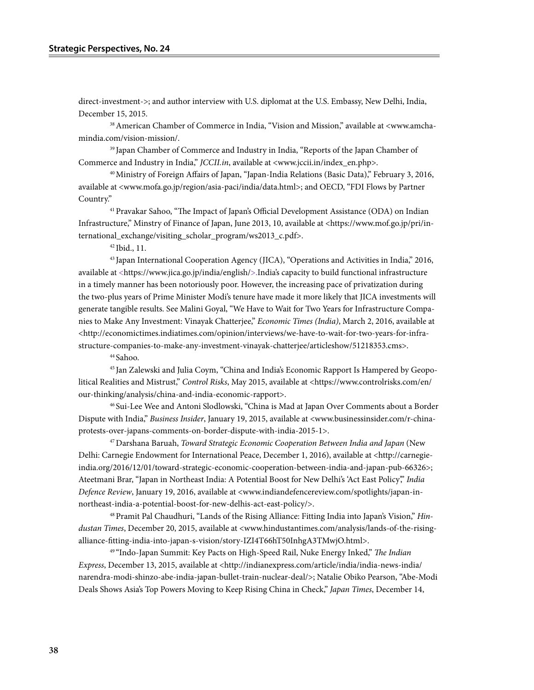direct-investment->; and author interview with U.S. diplomat at the U.S. Embassy, New Delhi, India, December 15, 2015.

38 American Chamber of Commerce in India, "Vision and Mission," available at <www.amchamindia.com/vision-mission/.  $\mathbf{b}_{\mathbf{a}}$ 

39 Japan Chamber of Commerce and Industry in India, "Reports of the Japan Chamber of Commerce and Industry in India," *JCCII.in*, available at <www.jccii.in/index\_en.php>.

40 Ministry of Foreign Affairs of Japan, "Japan-India Relations (Basic Data)," February 3, 2016, available at <www.mofa.go.jp/region/asia-paci/india/data.html>; and OECD, "FDI Flows by Partner Country."  $\overline{a}$ 

41 Pravakar Sahoo, "The Impact of Japan's Official Development Assistance (ODA) on Indian Infrastructure," Minstry of Finance of Japan, June 2013, 10, available at <https://www.mof.go.jp/pri/international\_exchange/visiting\_scholar\_program/ws2013\_c.pdf>.

42 Ibid., 11.

 $43$  Japan International Cooperation Agency (JICA), "Operations and Activities in India," 2016, available at <https://www.jica.go.jp/india/english/>.India's capacity to build functional infrastructure in a timely manner has been notoriously poor. However, the increasing pace of privatization during the two-plus years of Prime Minister Modi's tenure have made it more likely that JICA investments will generate tangible results. See Malini Goyal, "We Have to Wait for Two Years for Infrastructure Companies to Make Any Investment: Vinayak Chatterjee," *Economic Times (India)*, March 2, 2016, available at <http://economictimes.indiatimes.com/opinion/interviews/we-have-to-wait-for-two-years-for-infrastructure-companies-to-make-any-investment-vinayak-chatterjee/articleshow/51218353.cms>.

44 Sahoo.

45 Jan Zalewski and Julia Coym, "China and India's Economic Rapport Is Hampered by Geopolitical Realities and Mistrust," *Control Risks*, May 2015, available at <https://www.controlrisks.com/en/ our-thinking/analysis/china-and-india-economic-rapport>.

46 Sui-Lee Wee and Antoni Slodlowski, "China is Mad at Japan Over Comments about a Border Dispute with India," *Business Insider*, January 19, 2015, available at <www.businessinsider.com/r-chinaprotests-over-japans-comments-on-border-dispute-with-india-2015-1>.

47 Darshana Baruah, *Toward Strategic Economic Cooperation Between India and Japan* (New Delhi: Carnegie Endowment for International Peace, December 1, 2016), available at <http://carnegieindia.org/2016/12/01/toward-strategic-economic-cooperation-between-india-and-japan-pub-66326>; Ateetmani Brar, "Japan in Northeast India: A Potential Boost for New Delhi's 'Act East Policy'," *India Defence Review*, January 19, 2016, available at <www.indiandefencereview.com/spotlights/japan-innortheast-india-a-potential-boost-for-new-delhis-act-east-policy/>.

48 Pramit Pal Chaudhuri, "Lands of the Rising Alliance: Fitting India into Japan's Vision," *Hindustan Times*, December 20, 2015, available at <www.hindustantimes.com/analysis/lands-of-the-risingalliance-fitting-india-into-japan-s-vision/story-IZI4T66hT50InhgA3TMwjO.html>.

49 "Indo-Japan Summit: Key Pacts on High-Speed Rail, Nuke Energy Inked," *The Indian Express*, December 13, 2015, available at <http://indianexpress.com/article/india/india-news-india/ narendra-modi-shinzo-abe-india-japan-bullet-train-nuclear-deal/>; Natalie Obiko Pearson, "Abe-Modi Deals Shows Asia's Top Powers Moving to Keep Rising China in Check," *Japan Times*, December 14,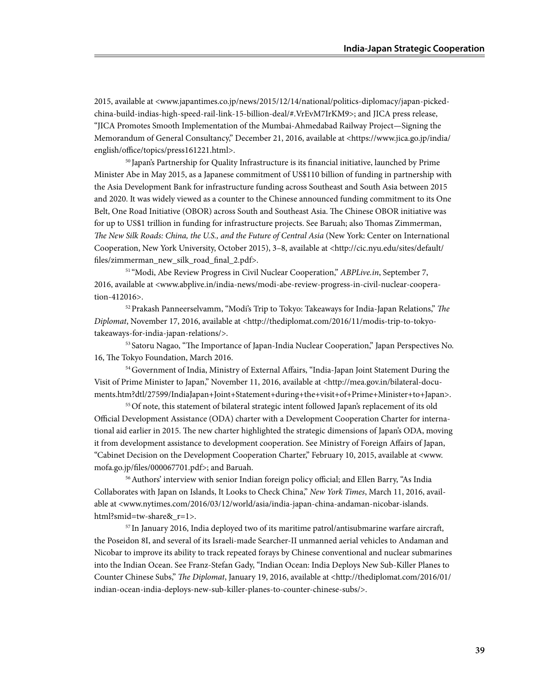2015, available at <www.japantimes.co.jp/news/2015/12/14/national/politics-diplomacy/japan-pickedchina-build-indias-high-speed-rail-link-15-billion-deal/#.VrEvM7IrKM9>; and JICA press release, "JICA Promotes Smooth Implementation of the Mumbai-Ahmedabad Railway Project—Signing the Memorandum of General Consultancy," December 21, 2016, available at <https://www.jica.go.jp/india/ english/office/topics/press161221.html>. The percentage of billets fillets fillets fillets fillets fillets fillets fillet requirements for  $\mathbb{F}_p$ 

> 50 Japan's Partnership for Quality Infrastructure is its financial initiative, launched by Prime Minister Abe in May 2015, as a Japanese commitment of US\$110 billion of funding in partnership with the Asia Development Bank for infrastructure funding across Southeast and South Asia between 2015 and 2020. It was widely viewed as a counter to the Chinese announced funding commitment to its One Belt, One Road Initiative (OBOR) across South and Southeast Asia. The Chinese OBOR initiative was for up to US\$1 trillion in funding for infrastructure projects. See Baruah; also Thomas Zimmerman, *The New Silk Roads: China, the U.S., and the Future of Central Asia* (New York: Center on International Cooperation, New York University, October 2015), 3–8, available at <http://cic.nyu.edu/sites/default/ files/zimmerman\_new\_silk\_road\_final\_2.pdf>.

51 "Modi, Abe Review Progress in Civil Nuclear Cooperation," *ABPLive.in*, September 7, 2016, available at <www.abplive.in/india-news/modi-abe-review-progress-in-civil-nuclear-cooperation-412016>.

52 Prakash Panneerselvamm, "Modi's Trip to Tokyo: Takeaways for India-Japan Relations," *The Diplomat*, November 17, 2016, available at <http://thediplomat.com/2016/11/modis-trip-to-tokyotakeaways-for-india-japan-relations/>.

<sup>53</sup> Satoru Nagao, "The Importance of Japan-India Nuclear Cooperation," Japan Perspectives No. 16, The Tokyo Foundation, March 2016.

54 Government of India, Ministry of External Affairs, "India-Japan Joint Statement During the Visit of Prime Minister to Japan," November 11, 2016, available at <http://mea.gov.in/bilateral-documents.htm?dtl/27599/IndiaJapan+Joint+Statement+during+the+visit+of+Prime+Minister+to+Japan>.

<sup>55</sup> Of note, this statement of bilateral strategic intent followed Japan's replacement of its old Official Development Assistance (ODA) charter with a Development Cooperation Charter for international aid earlier in 2015. The new charter highlighted the strategic dimensions of Japan's ODA, moving it from development assistance to development cooperation. See Ministry of Foreign Affairs of Japan, "Cabinet Decision on the Development Cooperation Charter," February 10, 2015, available at <www. mofa.go.jp/files/000067701.pdf>; and Baruah.

56 Authors' interview with senior Indian foreign policy official; and Ellen Barry, "As India Collaborates with Japan on Islands, It Looks to Check China," *New York Times*, March 11, 2016, available at <www.nytimes.com/2016/03/12/world/asia/india-japan-china-andaman-nicobar-islands. html?smid=tw-share&\_r=1>.

 $57$  In January 2016, India deployed two of its maritime patrol/antisubmarine warfare aircraft, the Poseidon 8I, and several of its Israeli-made Searcher-II unmanned aerial vehicles to Andaman and Nicobar to improve its ability to track repeated forays by Chinese conventional and nuclear submarines into the Indian Ocean. See Franz-Stefan Gady, "Indian Ocean: India Deploys New Sub-Killer Planes to Counter Chinese Subs," *The Diplomat*, January 19, 2016, available at <http://thediplomat.com/2016/01/ indian-ocean-india-deploys-new-sub-killer-planes-to-counter-chinese-subs/>.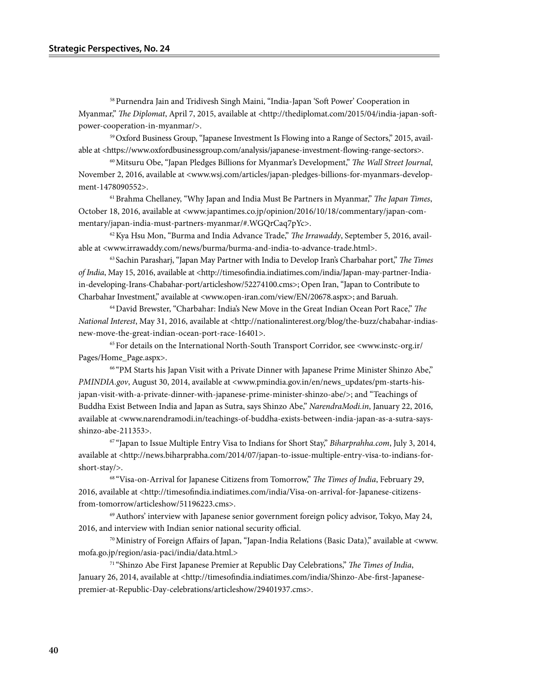58 Purnendra Jain and Tridivesh Singh Maini, "India-Japan 'Soft Power' Cooperation in Myanmar," *The Diplomat*, April 7, 2015, available at <http://thediplomat.com/2015/04/india-japan-softpower-cooperation-in-myanmar/>.

59 Oxford Business Group, "Japanese Investment Is Flowing into a Range of Sectors," 2015, available at <https://www.oxfordbusinessgroup.com/analysis/japanese-investment-flowing-range-sectors>.

60 Mitsuru Obe, "Japan Pledges Billions for Myanmar's Development," *The Wall Street Journal*, November 2, 2016, available at <www.wsj.com/articles/japan-pledges-billions-for-myanmars-development-1478090552>.

61 Brahma Chellaney, "Why Japan and India Must Be Partners in Myanmar," *The Japan Times*, October 18, 2016, available at <www.japantimes.co.jp/opinion/2016/10/18/commentary/japan-commentary/japan-india-must-partners-myanmar/#.WGQrCaq7pYc>.

62 Kya Hsu Mon, "Burma and India Advance Trade," *The Irrawaddy*, September 5, 2016, available at <www.irrawaddy.com/news/burma/burma-and-india-to-advance-trade.html>.

63 Sachin Parasharj, "Japan May Partner with India to Develop Iran's Charbahar port," *The Times of India*, May 15, 2016, available at <http://timesofindia.indiatimes.com/india/Japan-may-partner-Indiain-developing-Irans-Chabahar-port/articleshow/52274100.cms>; Open Iran, "Japan to Contribute to Charbahar Investment," available at <www.open-iran.com/view/EN/20678.aspx>; and Baruah.

64 David Brewster, "Charbahar: India's New Move in the Great Indian Ocean Port Race," *The National Interest*, May 31, 2016, available at <http://nationalinterest.org/blog/the-buzz/chabahar-indiasnew-move-the-great-indian-ocean-port-race-16401>.

65 For details on the International North-South Transport Corridor, see <www.instc-org.ir/ Pages/Home\_Page.aspx>.

66 "PM Starts his Japan Visit with a Private Dinner with Japanese Prime Minister Shinzo Abe," *PMINDIA.gov*, August 30, 2014, available at <www.pmindia.gov.in/en/news\_updates/pm-starts-hisjapan-visit-with-a-private-dinner-with-japanese-prime-minister-shinzo-abe/>; and "Teachings of Buddha Exist Between India and Japan as Sutra, says Shinzo Abe," *NarendraModi.in*, January 22, 2016, available at <www.narendramodi.in/teachings-of-buddha-exists-between-india-japan-as-a-sutra-saysshinzo-abe-211353>.

67 "Japan to Issue Multiple Entry Visa to Indians for Short Stay," *Biharprahha.com*, July 3, 2014, available at <http://news.biharprabha.com/2014/07/japan-to-issue-multiple-entry-visa-to-indians-forshort-stay/>.

68 "Visa-on-Arrival for Japanese Citizens from Tomorrow," *The Times of India*, February 29, 2016, available at <http://timesofindia.indiatimes.com/india/Visa-on-arrival-for-Japanese-citizensfrom-tomorrow/articleshow/51196223.cms>.

 $69$  Authors' interview with Japanese senior government foreign policy advisor, Tokyo, May 24, 2016, and interview with Indian senior national security official.

70 Ministry of Foreign Affairs of Japan, "Japan-India Relations (Basic Data)," available at <www. mofa.go.jp/region/asia-paci/india/data.html.>

71 "Shinzo Abe First Japanese Premier at Republic Day Celebrations," *The Times of India*, January 26, 2014, available at <http://timesofindia.indiatimes.com/india/Shinzo-Abe-first-Japanesepremier-at-Republic-Day-celebrations/articleshow/29401937.cms>.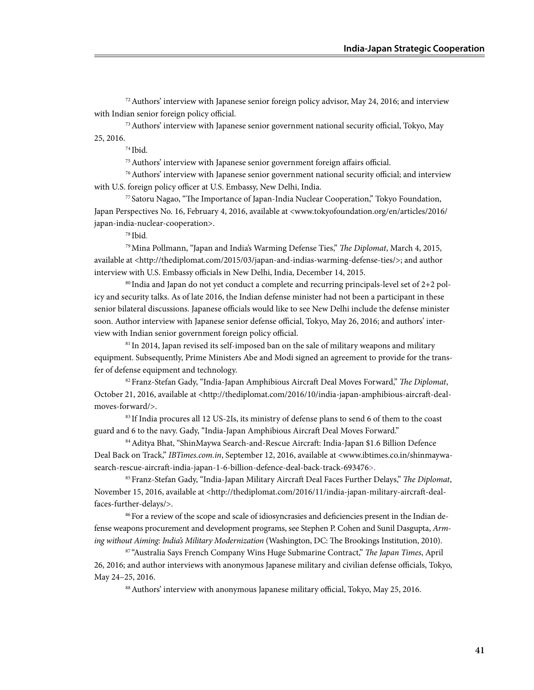72 Authors' interview with Japanese senior foreign policy advisor, May 24, 2016; and interview with Indian senior foreign policy official.

73 Authors' interview with Japanese senior government national security official, Tokyo, May 25, 2016.

74 Ibid.

75 Authors' interview with Japanese senior government foreign affairs official.

76 Authors' interview with Japanese senior government national security official; and interview with U.S. foreign policy officer at U.S. Embassy, New Delhi, India.

77 Satoru Nagao, "The Importance of Japan-India Nuclear Cooperation," Tokyo Foundation, Japan Perspectives No. 16, February 4, 2016, available at <www.tokyofoundation.org/en/articles/2016/ japan-india-nuclear-cooperation>.

<sup>78</sup> Ibid.

79 Mina Pollmann, "Japan and India's Warming Defense Ties," *The Diplomat*, March 4, 2015, available at <http://thediplomat.com/2015/03/japan-and-indias-warming-defense-ties/>; and author interview with U.S. Embassy officials in New Delhi, India, December 14, 2015.

 $80$  India and Japan do not yet conduct a complete and recurring principals-level set of  $2+2$  policy and security talks. As of late 2016, the Indian defense minister had not been a participant in these senior bilateral discussions. Japanese officials would like to see New Delhi include the defense minister soon. Author interview with Japanese senior defense official, Tokyo, May 26, 2016; and authors' interview with Indian senior government foreign policy official.

<sup>81</sup> In 2014, Japan revised its self-imposed ban on the sale of military weapons and military equipment. Subsequently, Prime Ministers Abe and Modi signed an agreement to provide for the transfer of defense equipment and technology.

82 Franz-Stefan Gady, "India-Japan Amphibious Aircraft Deal Moves Forward," *The Diplomat*, October 21, 2016, available at <http://thediplomat.com/2016/10/india-japan-amphibious-aircraft-dealmoves-forward/>.

83 If India procures all 12 US-2Is, its ministry of defense plans to send 6 of them to the coast guard and 6 to the navy. Gady, "India-Japan Amphibious Aircraft Deal Moves Forward."

84 Aditya Bhat, "ShinMaywa Search-and-Rescue Aircraft: India-Japan \$1.6 Billion Defence Deal Back on Track," *IBTimes.com.in*, September 12, 2016, available at <www.ibtimes.co.in/shinmaywasearch-rescue-aircraft-india-japan-1-6-billion-defence-deal-back-track-693476>.

85 Franz-Stefan Gady, "India-Japan Military Aircraft Deal Faces Further Delays," *The Diplomat*, November 15, 2016, available at <http://thediplomat.com/2016/11/india-japan-military-aircraft-dealfaces-further-delays/>.

86For a review of the scope and scale of idiosyncrasies and deficiencies present in the Indian defense weapons procurement and development programs, see Stephen P. Cohen and Sunil Dasgupta, *Arming without Aiming: India's Military Modernization* (Washington, DC: The Brookings Institution, 2010).

87 "Australia Says French Company Wins Huge Submarine Contract," *The Japan Times*, April 26, 2016; and author interviews with anonymous Japanese military and civilian defense officials, Tokyo, May 24–25, 2016.

88 Authors' interview with anonymous Japanese military official, Tokyo, May 25, 2016.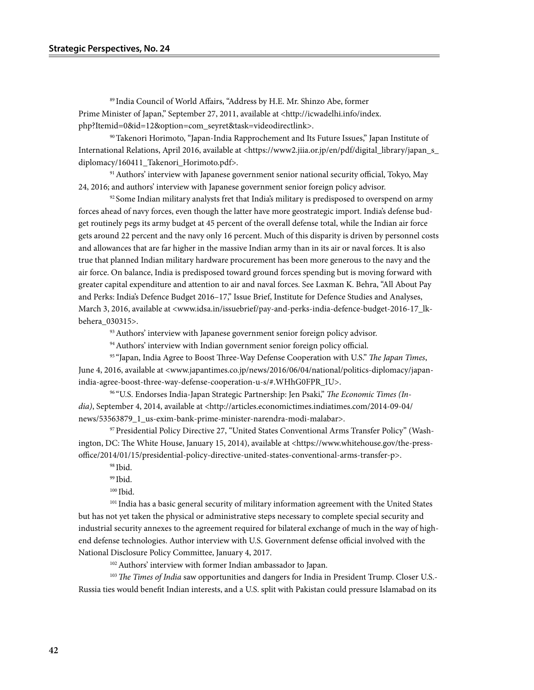89 India Council of World Affairs, "Address by H.E. Mr. Shinzo Abe, former Prime Minister of Japan," September 27, 2011, available at <http://icwadelhi.info/index. php?Itemid=0&id=12&option=com\_seyret&task=videodirectlink>.

90Takenori Horimoto, "Japan-India Rapprochement and Its Future Issues," Japan Institute of International Relations, April 2016, available at <https://www2.jiia.or.jp/en/pdf/digital\_library/japan\_s\_ diplomacy/160411\_Takenori\_Horimoto.pdf>.

91 Authors' interview with Japanese government senior national security official, Tokyo, May 24, 2016; and authors' interview with Japanese government senior foreign policy advisor.

 $92$  Some Indian military analysts fret that India's military is predisposed to overspend on army forces ahead of navy forces, even though the latter have more geostrategic import. India's defense budget routinely pegs its army budget at 45 percent of the overall defense total, while the Indian air force gets around 22 percent and the navy only 16 percent. Much of this disparity is driven by personnel costs and allowances that are far higher in the massive Indian army than in its air or naval forces. It is also true that planned Indian military hardware procurement has been more generous to the navy and the air force. On balance, India is predisposed toward ground forces spending but is moving forward with greater capital expenditure and attention to air and naval forces. See Laxman K. Behra, "All About Pay and Perks: India's Defence Budget 2016-17," Issue Brief, Institute for Defence Studies and Analyses, March 3, 2016, available at <www.idsa.in/issuebrief/pay-and-perks-india-defence-budget-2016-17\_lkbehera\_030315>.

<sup>93</sup> Authors' interview with Japanese government senior foreign policy advisor.

<sup>94</sup> Authors' interview with Indian government senior foreign policy official.

95 "Japan, India Agree to Boost Three-Way Defense Cooperation with U.S." *The Japan Times*, June 4, 2016, available at <www.japantimes.co.jp/news/2016/06/04/national/politics-diplomacy/japanindia-agree-boost-three-way-defense-cooperation-u-s/#.WHhG0FPR\_IU>.

96 "U.S. Endorses India-Japan Strategic Partnership: Jen Psaki," *The Economic Times (In*dia), September 4, 2014, available at <http://articles.economictimes.indiatimes.com/2014-09-04/ news/53563879\_1\_us-exim-bank-prime-minister-narendra-modi-malabar>.

97 Presidential Policy Directive 27, "United States Conventional Arms Transfer Policy" (Washington, DC: The White House, January 15, 2014), available at <https://www.whitehouse.gov/the-pressoffice/2014/01/15/presidential-policy-directive-united-states-conventional-arms-transfer-p>.

98 Ibid.

99 Ibid.

<sup>100</sup> Ibid.

<sup>101</sup> India has a basic general security of military information agreement with the United States but has not yet taken the physical or administrative steps necessary to complete special security and industrial security annexes to the agreement required for bilateral exchange of much in the way of highend defense technologies. Author interview with U.S. Government defense official involved with the National Disclosure Policy Committee, January 4, 2017.

102 Authors' interview with former Indian ambassador to Japan.

<sup>103</sup>*The Times of India* saw opportunities and dangers for India in President Trump. Closer U.S.- Russia ties would benefit Indian interests, and a U.S. split with Pakistan could pressure Islamabad on its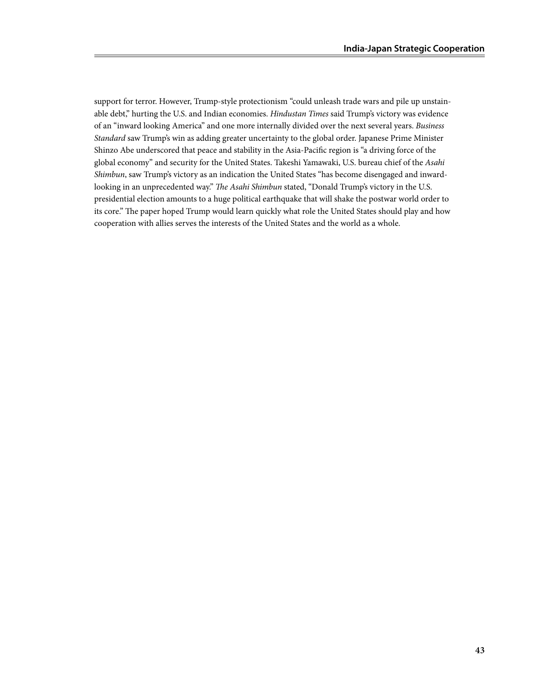support for terror. However, Trump-style protectionism "could unleash trade wars and pile up unstainable debt," hurting the U.S. and Indian economies. *Hindustan Times* said Trump's victory was evidence of an "inward looking America" and one more internally divided over the next several years. *Business Standard* saw Trump's win as adding greater uncertainty to the global order. Japanese Prime Minister Shinzo Abe underscored that peace and stability in the Asia-Pacific region is "a driving force of the global economy" and security for the United States. Takeshi Yamawaki, U.S. bureau chief of the *Asahi Shimbun*, saw Trump's victory as an indication the United States "has become disengaged and inwardlooking in an unprecedented way." *The Asahi Shimbun* stated, "Donald Trump's victory in the U.S. presidential election amounts to a huge political earthquake that will shake the postwar world order to its core." The paper hoped Trump would learn quickly what role the United States should play and how cooperation with allies serves the interests of the United States and the world as a whole.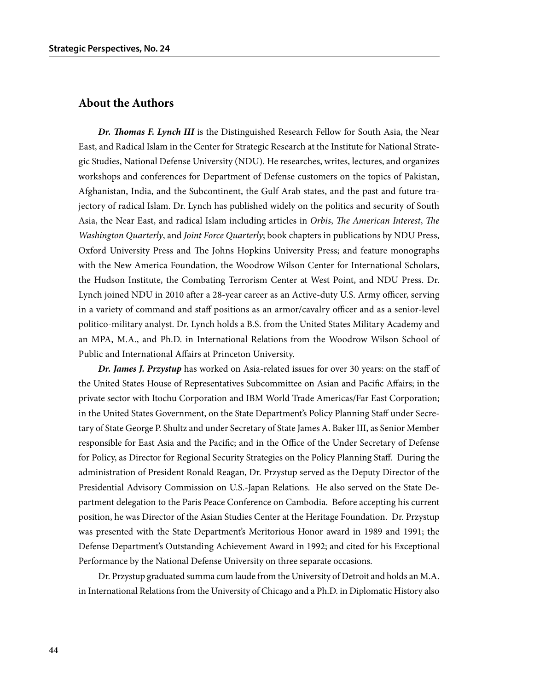#### **About the Authors**

*Dr. Thomas F. Lynch III* is the Distinguished Research Fellow for South Asia, the Near East, and Radical Islam in the Center for Strategic Research at the Institute for National Strategic Studies, National Defense University (NDU). He researches, writes, lectures, and organizes workshops and conferences for Department of Defense customers on the topics of Pakistan, Afghanistan, India, and the Subcontinent, the Gulf Arab states, and the past and future trajectory of radical Islam. Dr. Lynch has published widely on the politics and security of South Asia, the Near East, and radical Islam including articles in *Orbis*, *The American Interest*, *The Washington Quarterly*, and *Joint Force Quarterly*; book chapters in publications by NDU Press, Oxford University Press and The Johns Hopkins University Press; and feature monographs with the New America Foundation, the Woodrow Wilson Center for International Scholars, the Hudson Institute, the Combating Terrorism Center at West Point, and NDU Press. Dr. Lynch joined NDU in 2010 after a 28-year career as an Active-duty U.S. Army officer, serving in a variety of command and staff positions as an armor/cavalry officer and as a senior-level politico-military analyst. Dr. Lynch holds a B.S. from the United States Military Academy and an MPA, M.A., and Ph.D. in International Relations from the Woodrow Wilson School of Public and International Affairs at Princeton University.

*Dr. James J. Przystup* has worked on Asia-related issues for over 30 years: on the staff of the United States House of Representatives Subcommittee on Asian and Pacific Affairs; in the private sector with Itochu Corporation and IBM World Trade Americas/Far East Corporation; in the United States Government, on the State Department's Policy Planning Staff under Secretary of State George P. Shultz and under Secretary of State James A. Baker III, as Senior Member responsible for East Asia and the Pacific; and in the Office of the Under Secretary of Defense for Policy, as Director for Regional Security Strategies on the Policy Planning Staff. During the administration of President Ronald Reagan, Dr. Przystup served as the Deputy Director of the Presidential Advisory Commission on U.S.-Japan Relations. He also served on the State Department delegation to the Paris Peace Conference on Cambodia. Before accepting his current position, he was Director of the Asian Studies Center at the Heritage Foundation. Dr. Przystup was presented with the State Department's Meritorious Honor award in 1989 and 1991; the Defense Department's Outstanding Achievement Award in 1992; and cited for his Exceptional Performance by the National Defense University on three separate occasions.

Dr. Przystup graduated summa cum laude from the University of Detroit and holds an M.A. in International Relations from the University of Chicago and a Ph.D. in Diplomatic History also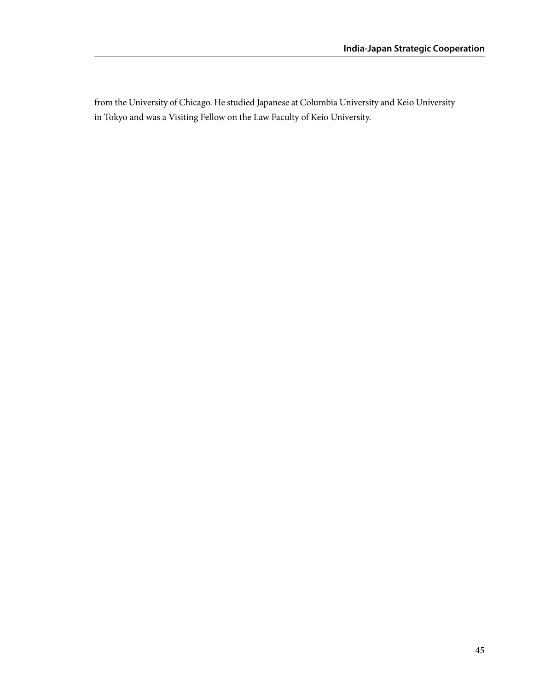from the University of Chicago. He studied Japanese at Columbia University and Keio University in Tokyo and was a Visiting Fellow on the Law Faculty of Keio University.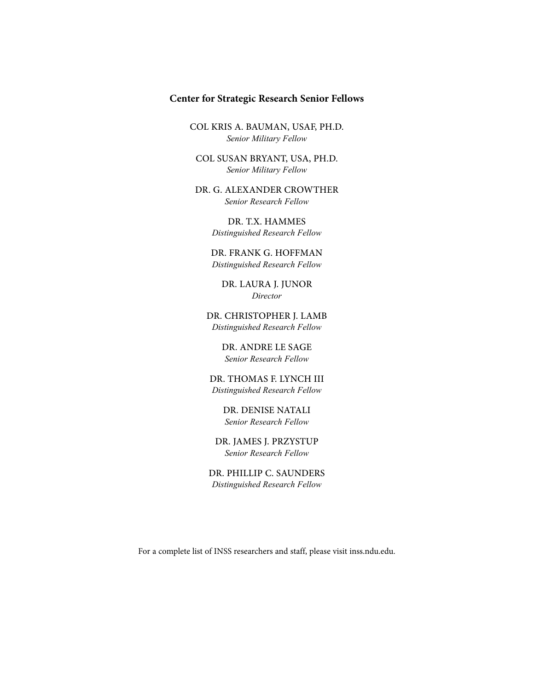#### **Center for Strategic Research Senior Fellows**

COL KRIS A. BAUMAN, USAF, PH.D. *Senior Military Fellow*

COL SUSAN BRYANT, USA, PH.D. *Senior Military Fellow*

DR. G. ALEXANDER CROWTHER *Senior Research Fellow*

> DR. T.X. HAMMES *Distinguished Research Fellow*

DR. FRANK G. HOFFMAN *Distinguished Research Fellow*

DR. LAURA J. JUNOR *Director*

DR. CHRISTOPHER J. LAMB *Distinguished Research Fellow*

> DR. ANDRE LE SAGE *Senior Research Fellow*

DR. THOMAS F. LYNCH III *Distinguished Research Fellow*

> DR. DENISE NATALI *Senior Research Fellow*

DR. JAMES J. PRZYSTUP *Senior Research Fellow*

DR. PHILLIP C. SAUNDERS *Distinguished Research Fellow*

For a complete list of INSS researchers and staff, please visit inss.ndu.edu.